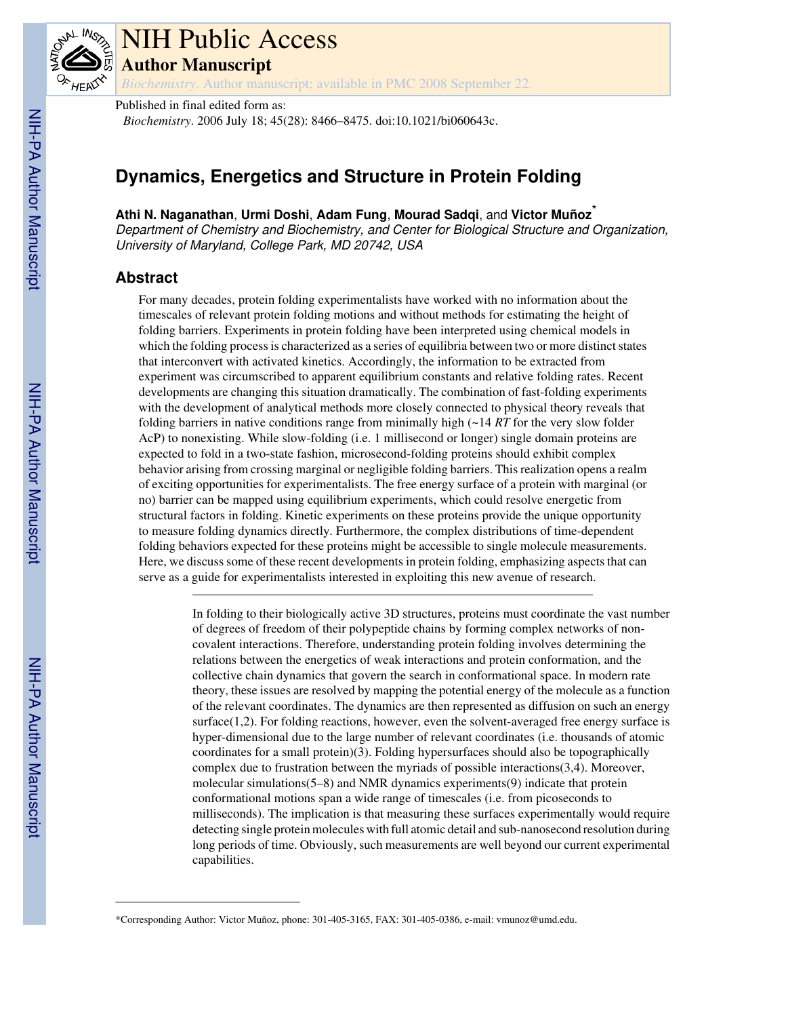

# NIH Public Access

**Author Manuscript**

*Biochemistry*. Author manuscript; available in PMC 2008 September 22.

Published in final edited form as: *Biochemistry*. 2006 July 18; 45(28): 8466–8475. doi:10.1021/bi060643c.

## **Dynamics, Energetics and Structure in Protein Folding**

**Athi N. Naganathan**, **Urmi Doshi**, **Adam Fung**, **Mourad Sadqi**, and **Victor Muñoz**\*

Department of Chemistry and Biochemistry, and Center for Biological Structure and Organization, University of Maryland, College Park, MD 20742, USA

## **Abstract**

For many decades, protein folding experimentalists have worked with no information about the timescales of relevant protein folding motions and without methods for estimating the height of folding barriers. Experiments in protein folding have been interpreted using chemical models in which the folding process is characterized as a series of equilibria between two or more distinct states that interconvert with activated kinetics. Accordingly, the information to be extracted from experiment was circumscribed to apparent equilibrium constants and relative folding rates. Recent developments are changing this situation dramatically. The combination of fast-folding experiments with the development of analytical methods more closely connected to physical theory reveals that folding barriers in native conditions range from minimally high (~14 *RT* for the very slow folder AcP) to nonexisting. While slow-folding (i.e. 1 millisecond or longer) single domain proteins are expected to fold in a two-state fashion, microsecond-folding proteins should exhibit complex behavior arising from crossing marginal or negligible folding barriers. This realization opens a realm of exciting opportunities for experimentalists. The free energy surface of a protein with marginal (or no) barrier can be mapped using equilibrium experiments, which could resolve energetic from structural factors in folding. Kinetic experiments on these proteins provide the unique opportunity to measure folding dynamics directly. Furthermore, the complex distributions of time-dependent folding behaviors expected for these proteins might be accessible to single molecule measurements. Here, we discuss some of these recent developments in protein folding, emphasizing aspects that can serve as a guide for experimentalists interested in exploiting this new avenue of research.

> In folding to their biologically active 3D structures, proteins must coordinate the vast number of degrees of freedom of their polypeptide chains by forming complex networks of noncovalent interactions. Therefore, understanding protein folding involves determining the relations between the energetics of weak interactions and protein conformation, and the collective chain dynamics that govern the search in conformational space. In modern rate theory, these issues are resolved by mapping the potential energy of the molecule as a function of the relevant coordinates. The dynamics are then represented as diffusion on such an energy surface $(1,2)$ . For folding reactions, however, even the solvent-averaged free energy surface is hyper-dimensional due to the large number of relevant coordinates (i.e. thousands of atomic coordinates for a small protein)(3). Folding hypersurfaces should also be topographically complex due to frustration between the myriads of possible interactions(3,4). Moreover, molecular simulations(5–8) and NMR dynamics experiments(9) indicate that protein conformational motions span a wide range of timescales (i.e. from picoseconds to milliseconds). The implication is that measuring these surfaces experimentally would require detecting single protein molecules with full atomic detail and sub-nanosecond resolution during long periods of time. Obviously, such measurements are well beyond our current experimental capabilities.

<sup>\*</sup>Corresponding Author: Victor Muñoz, phone: 301-405-3165, FAX: 301-405-0386, e-mail: vmunoz@umd.edu.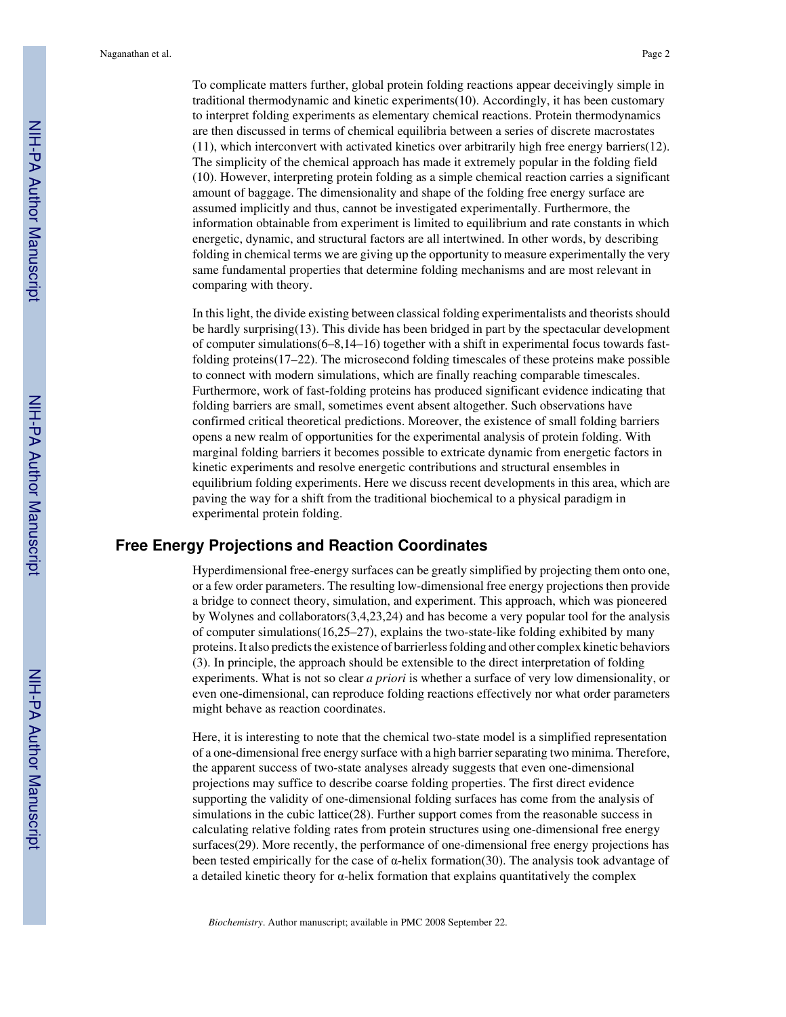To complicate matters further, global protein folding reactions appear deceivingly simple in traditional thermodynamic and kinetic experiments(10). Accordingly, it has been customary to interpret folding experiments as elementary chemical reactions. Protein thermodynamics are then discussed in terms of chemical equilibria between a series of discrete macrostates (11), which interconvert with activated kinetics over arbitrarily high free energy barriers(12). The simplicity of the chemical approach has made it extremely popular in the folding field (10). However, interpreting protein folding as a simple chemical reaction carries a significant amount of baggage. The dimensionality and shape of the folding free energy surface are assumed implicitly and thus, cannot be investigated experimentally. Furthermore, the information obtainable from experiment is limited to equilibrium and rate constants in which energetic, dynamic, and structural factors are all intertwined. In other words, by describing folding in chemical terms we are giving up the opportunity to measure experimentally the very same fundamental properties that determine folding mechanisms and are most relevant in comparing with theory.

In this light, the divide existing between classical folding experimentalists and theorists should be hardly surprising(13). This divide has been bridged in part by the spectacular development of computer simulations(6–8,14–16) together with a shift in experimental focus towards fastfolding proteins(17–22). The microsecond folding timescales of these proteins make possible to connect with modern simulations, which are finally reaching comparable timescales. Furthermore, work of fast-folding proteins has produced significant evidence indicating that folding barriers are small, sometimes event absent altogether. Such observations have confirmed critical theoretical predictions. Moreover, the existence of small folding barriers opens a new realm of opportunities for the experimental analysis of protein folding. With marginal folding barriers it becomes possible to extricate dynamic from energetic factors in kinetic experiments and resolve energetic contributions and structural ensembles in equilibrium folding experiments. Here we discuss recent developments in this area, which are paving the way for a shift from the traditional biochemical to a physical paradigm in experimental protein folding.

## **Free Energy Projections and Reaction Coordinates**

Hyperdimensional free-energy surfaces can be greatly simplified by projecting them onto one, or a few order parameters. The resulting low-dimensional free energy projections then provide a bridge to connect theory, simulation, and experiment. This approach, which was pioneered by Wolynes and collaborators(3,4,23,24) and has become a very popular tool for the analysis of computer simulations( $16,25-27$ ), explains the two-state-like folding exhibited by many proteins. It also predicts the existence of barrierless folding and other complex kinetic behaviors (3). In principle, the approach should be extensible to the direct interpretation of folding experiments. What is not so clear *a priori* is whether a surface of very low dimensionality, or even one-dimensional, can reproduce folding reactions effectively nor what order parameters might behave as reaction coordinates.

Here, it is interesting to note that the chemical two-state model is a simplified representation of a one-dimensional free energy surface with a high barrier separating two minima. Therefore, the apparent success of two-state analyses already suggests that even one-dimensional projections may suffice to describe coarse folding properties. The first direct evidence supporting the validity of one-dimensional folding surfaces has come from the analysis of simulations in the cubic lattice(28). Further support comes from the reasonable success in calculating relative folding rates from protein structures using one-dimensional free energy surfaces(29). More recently, the performance of one-dimensional free energy projections has been tested empirically for the case of  $\alpha$ -helix formation(30). The analysis took advantage of a detailed kinetic theory for  $\alpha$ -helix formation that explains quantitatively the complex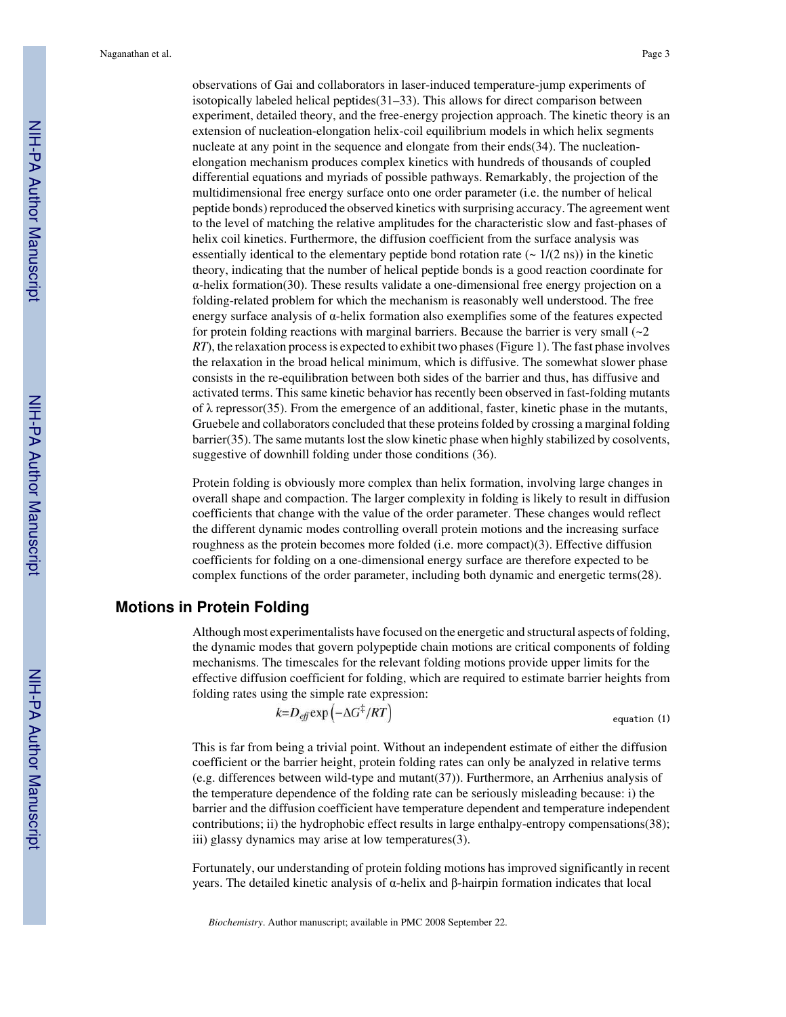observations of Gai and collaborators in laser-induced temperature-jump experiments of isotopically labeled helical peptides $(31–33)$ . This allows for direct comparison between experiment, detailed theory, and the free-energy projection approach. The kinetic theory is an extension of nucleation-elongation helix-coil equilibrium models in which helix segments nucleate at any point in the sequence and elongate from their ends(34). The nucleationelongation mechanism produces complex kinetics with hundreds of thousands of coupled differential equations and myriads of possible pathways. Remarkably, the projection of the multidimensional free energy surface onto one order parameter (i.e. the number of helical peptide bonds) reproduced the observed kinetics with surprising accuracy. The agreement went to the level of matching the relative amplitudes for the characteristic slow and fast-phases of helix coil kinetics. Furthermore, the diffusion coefficient from the surface analysis was essentially identical to the elementary peptide bond rotation rate ( $\sim 1/(2 \text{ ns})$ ) in the kinetic theory, indicating that the number of helical peptide bonds is a good reaction coordinate for α-helix formation(30). These results validate a one-dimensional free energy projection on a folding-related problem for which the mechanism is reasonably well understood. The free energy surface analysis of  $\alpha$ -helix formation also exemplifies some of the features expected for protein folding reactions with marginal barriers. Because the barrier is very small  $\left(2\right)$ *RT*), the relaxation process is expected to exhibit two phases (Figure 1). The fast phase involves the relaxation in the broad helical minimum, which is diffusive. The somewhat slower phase consists in the re-equilibration between both sides of the barrier and thus, has diffusive and activated terms. This same kinetic behavior has recently been observed in fast-folding mutants of  $\lambda$  repressor(35). From the emergence of an additional, faster, kinetic phase in the mutants, Gruebele and collaborators concluded that these proteins folded by crossing a marginal folding barrier(35). The same mutants lost the slow kinetic phase when highly stabilized by cosolvents, suggestive of downhill folding under those conditions (36).

Protein folding is obviously more complex than helix formation, involving large changes in overall shape and compaction. The larger complexity in folding is likely to result in diffusion coefficients that change with the value of the order parameter. These changes would reflect the different dynamic modes controlling overall protein motions and the increasing surface roughness as the protein becomes more folded (i.e. more compact)(3). Effective diffusion coefficients for folding on a one-dimensional energy surface are therefore expected to be complex functions of the order parameter, including both dynamic and energetic terms(28).

## **Motions in Protein Folding**

Although most experimentalists have focused on the energetic and structural aspects of folding, the dynamic modes that govern polypeptide chain motions are critical components of folding mechanisms. The timescales for the relevant folding motions provide upper limits for the effective diffusion coefficient for folding, which are required to estimate barrier heights from folding rates using the simple rate expression:

$$
k=D_{\text{eff}}\exp\left(-\Delta G^{\ddagger}/RT\right)
$$
 equation (1)

This is far from being a trivial point. Without an independent estimate of either the diffusion coefficient or the barrier height, protein folding rates can only be analyzed in relative terms (e.g. differences between wild-type and mutant(37)). Furthermore, an Arrhenius analysis of the temperature dependence of the folding rate can be seriously misleading because: i) the barrier and the diffusion coefficient have temperature dependent and temperature independent contributions; ii) the hydrophobic effect results in large enthalpy-entropy compensations(38); iii) glassy dynamics may arise at low temperatures(3).

Fortunately, our understanding of protein folding motions has improved significantly in recent years. The detailed kinetic analysis of α-helix and β-hairpin formation indicates that local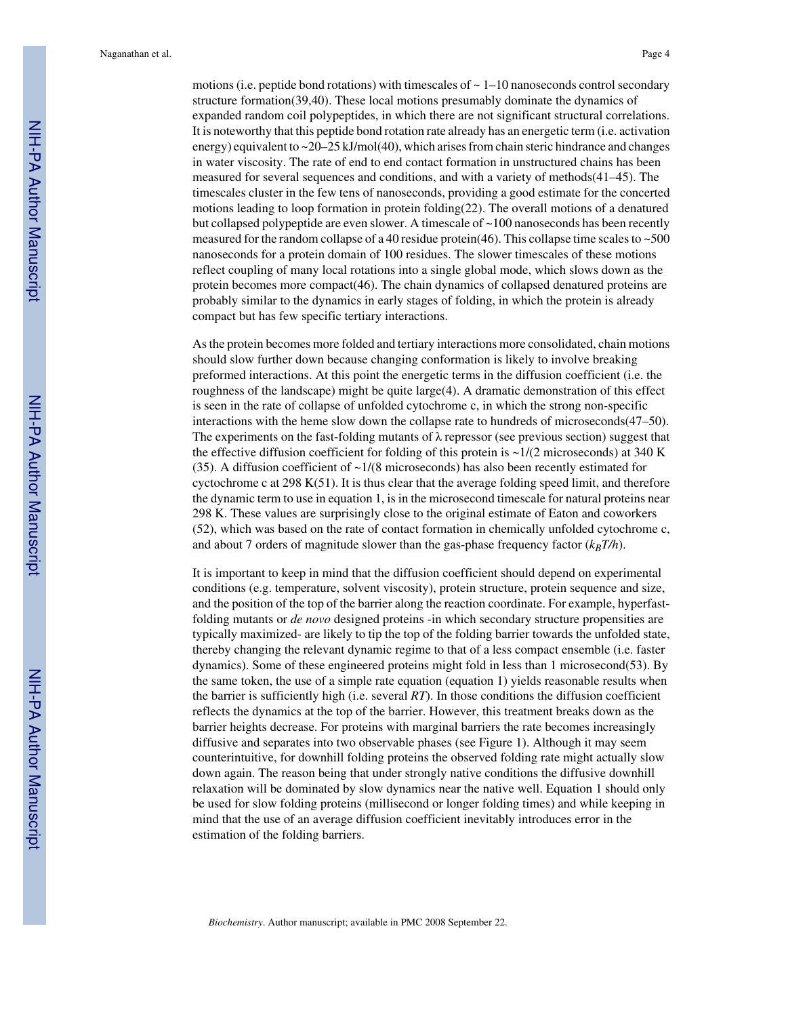motions (i.e. peptide bond rotations) with timescales of  $\sim 1$ –10 nanoseconds control secondary structure formation(39,40). These local motions presumably dominate the dynamics of expanded random coil polypeptides, in which there are not significant structural correlations. It is noteworthy that this peptide bond rotation rate already has an energetic term (i.e. activation energy) equivalent to ~20–25 kJ/mol(40), which arises from chain steric hindrance and changes in water viscosity. The rate of end to end contact formation in unstructured chains has been measured for several sequences and conditions, and with a variety of methods(41–45). The timescales cluster in the few tens of nanoseconds, providing a good estimate for the concerted motions leading to loop formation in protein folding(22). The overall motions of a denatured but collapsed polypeptide are even slower. A timescale of  $\sim$ 100 nanoseconds has been recently measured for the random collapse of a 40 residue protein(46). This collapse time scales to ~500 nanoseconds for a protein domain of 100 residues. The slower timescales of these motions reflect coupling of many local rotations into a single global mode, which slows down as the protein becomes more compact(46). The chain dynamics of collapsed denatured proteins are probably similar to the dynamics in early stages of folding, in which the protein is already compact but has few specific tertiary interactions.

As the protein becomes more folded and tertiary interactions more consolidated, chain motions should slow further down because changing conformation is likely to involve breaking preformed interactions. At this point the energetic terms in the diffusion coefficient (i.e. the roughness of the landscape) might be quite large(4). A dramatic demonstration of this effect is seen in the rate of collapse of unfolded cytochrome c, in which the strong non-specific interactions with the heme slow down the collapse rate to hundreds of microseconds(47–50). The experiments on the fast-folding mutants of  $\lambda$  repressor (see previous section) suggest that the effective diffusion coefficient for folding of this protein is  $\sim 1/(2 \text{ microseconds})$  at 340 K (35). A diffusion coefficient of  $\sim 1/(8$  microseconds) has also been recently estimated for cyctochrome c at  $298 K(51)$ . It is thus clear that the average folding speed limit, and therefore the dynamic term to use in equation 1, is in the microsecond timescale for natural proteins near 298 K. These values are surprisingly close to the original estimate of Eaton and coworkers (52), which was based on the rate of contact formation in chemically unfolded cytochrome c, and about 7 orders of magnitude slower than the gas-phase frequency factor  $(k_B T/h)$ .

It is important to keep in mind that the diffusion coefficient should depend on experimental conditions (e.g. temperature, solvent viscosity), protein structure, protein sequence and size, and the position of the top of the barrier along the reaction coordinate. For example, hyperfastfolding mutants or *de novo* designed proteins -in which secondary structure propensities are typically maximized- are likely to tip the top of the folding barrier towards the unfolded state, thereby changing the relevant dynamic regime to that of a less compact ensemble (i.e. faster dynamics). Some of these engineered proteins might fold in less than 1 microsecond(53). By the same token, the use of a simple rate equation (equation 1) yields reasonable results when the barrier is sufficiently high (i.e. several *RT*). In those conditions the diffusion coefficient reflects the dynamics at the top of the barrier. However, this treatment breaks down as the barrier heights decrease. For proteins with marginal barriers the rate becomes increasingly diffusive and separates into two observable phases (see Figure 1). Although it may seem counterintuitive, for downhill folding proteins the observed folding rate might actually slow down again. The reason being that under strongly native conditions the diffusive downhill relaxation will be dominated by slow dynamics near the native well. Equation 1 should only be used for slow folding proteins (millisecond or longer folding times) and while keeping in mind that the use of an average diffusion coefficient inevitably introduces error in the estimation of the folding barriers.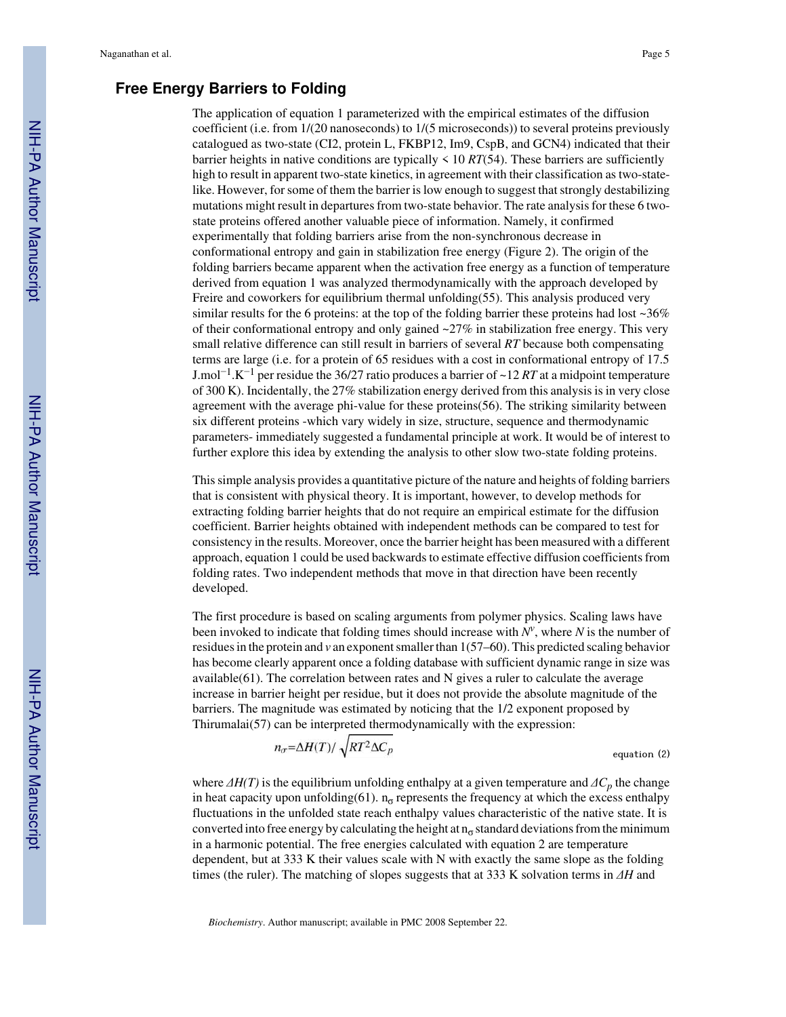## **Free Energy Barriers to Folding**

The application of equation 1 parameterized with the empirical estimates of the diffusion coefficient (i.e. from 1/(20 nanoseconds) to 1/(5 microseconds)) to several proteins previously catalogued as two-state (CI2, protein L, FKBP12, Im9, CspB, and GCN4) indicated that their barrier heights in native conditions are typically  $\leq 10 RT(54)$ . These barriers are sufficiently high to result in apparent two-state kinetics, in agreement with their classification as two-statelike. However, for some of them the barrier is low enough to suggest that strongly destabilizing mutations might result in departures from two-state behavior. The rate analysis for these 6 twostate proteins offered another valuable piece of information. Namely, it confirmed experimentally that folding barriers arise from the non-synchronous decrease in conformational entropy and gain in stabilization free energy (Figure 2). The origin of the folding barriers became apparent when the activation free energy as a function of temperature derived from equation 1 was analyzed thermodynamically with the approach developed by Freire and coworkers for equilibrium thermal unfolding(55). This analysis produced very similar results for the 6 proteins: at the top of the folding barrier these proteins had lost  $\sim$ 36% of their conformational entropy and only gained  $\sim$ 27% in stabilization free energy. This very small relative difference can still result in barriers of several *RT* because both compensating terms are large (i.e. for a protein of 65 residues with a cost in conformational entropy of 17.5 J.mol−<sup>1</sup> .K−<sup>1</sup> per residue the 36/27 ratio produces a barrier of ~12 *RT* at a midpoint temperature of 300 K). Incidentally, the 27% stabilization energy derived from this analysis is in very close agreement with the average phi-value for these proteins(56). The striking similarity between six different proteins -which vary widely in size, structure, sequence and thermodynamic parameters- immediately suggested a fundamental principle at work. It would be of interest to further explore this idea by extending the analysis to other slow two-state folding proteins.

This simple analysis provides a quantitative picture of the nature and heights of folding barriers that is consistent with physical theory. It is important, however, to develop methods for extracting folding barrier heights that do not require an empirical estimate for the diffusion coefficient. Barrier heights obtained with independent methods can be compared to test for consistency in the results. Moreover, once the barrier height has been measured with a different approach, equation 1 could be used backwards to estimate effective diffusion coefficients from folding rates. Two independent methods that move in that direction have been recently developed.

The first procedure is based on scaling arguments from polymer physics. Scaling laws have been invoked to indicate that folding times should increase with *N<sup>v</sup>* , where *N* is the number of residues in the protein and *v* an exponent smaller than 1(57–60). This predicted scaling behavior has become clearly apparent once a folding database with sufficient dynamic range in size was available( $61$ ). The correlation between rates and N gives a ruler to calculate the average increase in barrier height per residue, but it does not provide the absolute magnitude of the barriers. The magnitude was estimated by noticing that the 1/2 exponent proposed by Thirumalai(57) can be interpreted thermodynamically with the expression:

$$
n_{\sigma} = \Delta H(T) / \sqrt{RT^2 \Delta C_p}
$$
 equation (2)

where  $\Delta H(T)$  is the equilibrium unfolding enthalpy at a given temperature and  $\Delta C_p$  the change in heat capacity upon unfolding(61).  $n_{\sigma}$  represents the frequency at which the excess enthalpy fluctuations in the unfolded state reach enthalpy values characteristic of the native state. It is converted into free energy by calculating the height at  $n<sub>σ</sub>$  standard deviations from the minimum in a harmonic potential. The free energies calculated with equation 2 are temperature dependent, but at 333 K their values scale with N with exactly the same slope as the folding times (the ruler). The matching of slopes suggests that at 333 K solvation terms in *ΔH* and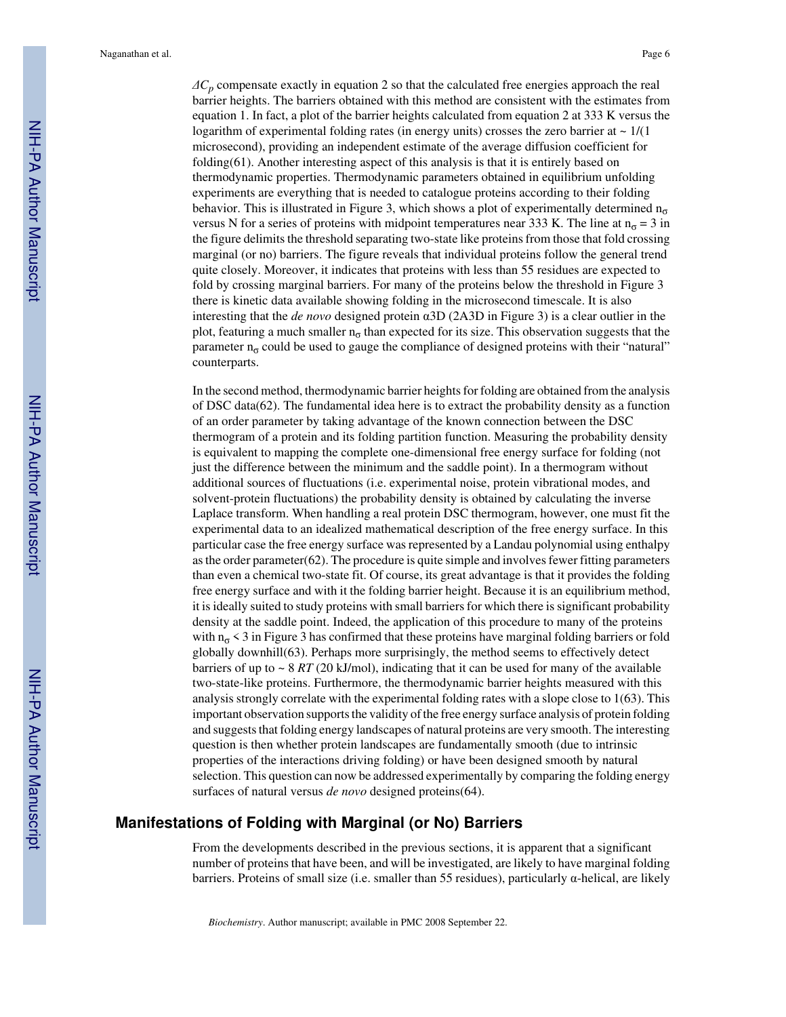*ΔCp* compensate exactly in equation 2 so that the calculated free energies approach the real barrier heights. The barriers obtained with this method are consistent with the estimates from equation 1. In fact, a plot of the barrier heights calculated from equation 2 at 333 K versus the logarithm of experimental folding rates (in energy units) crosses the zero barrier at  $\sim 1/(1$ microsecond), providing an independent estimate of the average diffusion coefficient for folding(61). Another interesting aspect of this analysis is that it is entirely based on thermodynamic properties. Thermodynamic parameters obtained in equilibrium unfolding experiments are everything that is needed to catalogue proteins according to their folding behavior. This is illustrated in Figure 3, which shows a plot of experimentally determined  $n_{\sigma}$ versus N for a series of proteins with midpoint temperatures near 333 K. The line at  $n_{\sigma} = 3$  in the figure delimits the threshold separating two-state like proteins from those that fold crossing marginal (or no) barriers. The figure reveals that individual proteins follow the general trend quite closely. Moreover, it indicates that proteins with less than 55 residues are expected to fold by crossing marginal barriers. For many of the proteins below the threshold in Figure 3 there is kinetic data available showing folding in the microsecond timescale. It is also interesting that the *de novo* designed protein α3D (2A3D in Figure 3) is a clear outlier in the plot, featuring a much smaller  $n<sub>σ</sub>$  than expected for its size. This observation suggests that the parameter  $n<sub>σ</sub>$  could be used to gauge the compliance of designed proteins with their "natural" counterparts.

In the second method, thermodynamic barrier heights for folding are obtained from the analysis of DSC data(62). The fundamental idea here is to extract the probability density as a function of an order parameter by taking advantage of the known connection between the DSC thermogram of a protein and its folding partition function. Measuring the probability density is equivalent to mapping the complete one-dimensional free energy surface for folding (not just the difference between the minimum and the saddle point). In a thermogram without additional sources of fluctuations (i.e. experimental noise, protein vibrational modes, and solvent-protein fluctuations) the probability density is obtained by calculating the inverse Laplace transform. When handling a real protein DSC thermogram, however, one must fit the experimental data to an idealized mathematical description of the free energy surface. In this particular case the free energy surface was represented by a Landau polynomial using enthalpy as the order parameter $(62)$ . The procedure is quite simple and involves fewer fitting parameters than even a chemical two-state fit. Of course, its great advantage is that it provides the folding free energy surface and with it the folding barrier height. Because it is an equilibrium method, it is ideally suited to study proteins with small barriers for which there is significant probability density at the saddle point. Indeed, the application of this procedure to many of the proteins with  $n_{\sigma}$  < 3 in Figure 3 has confirmed that these proteins have marginal folding barriers or fold globally downhill(63). Perhaps more surprisingly, the method seems to effectively detect barriers of up to  $\sim 8 RT$  (20 kJ/mol), indicating that it can be used for many of the available two-state-like proteins. Furthermore, the thermodynamic barrier heights measured with this analysis strongly correlate with the experimental folding rates with a slope close to 1(63). This important observation supports the validity of the free energy surface analysis of protein folding and suggests that folding energy landscapes of natural proteins are very smooth. The interesting question is then whether protein landscapes are fundamentally smooth (due to intrinsic properties of the interactions driving folding) or have been designed smooth by natural selection. This question can now be addressed experimentally by comparing the folding energy surfaces of natural versus *de novo* designed proteins(64).

## **Manifestations of Folding with Marginal (or No) Barriers**

From the developments described in the previous sections, it is apparent that a significant number of proteins that have been, and will be investigated, are likely to have marginal folding barriers. Proteins of small size (i.e. smaller than 55 residues), particularly α-helical, are likely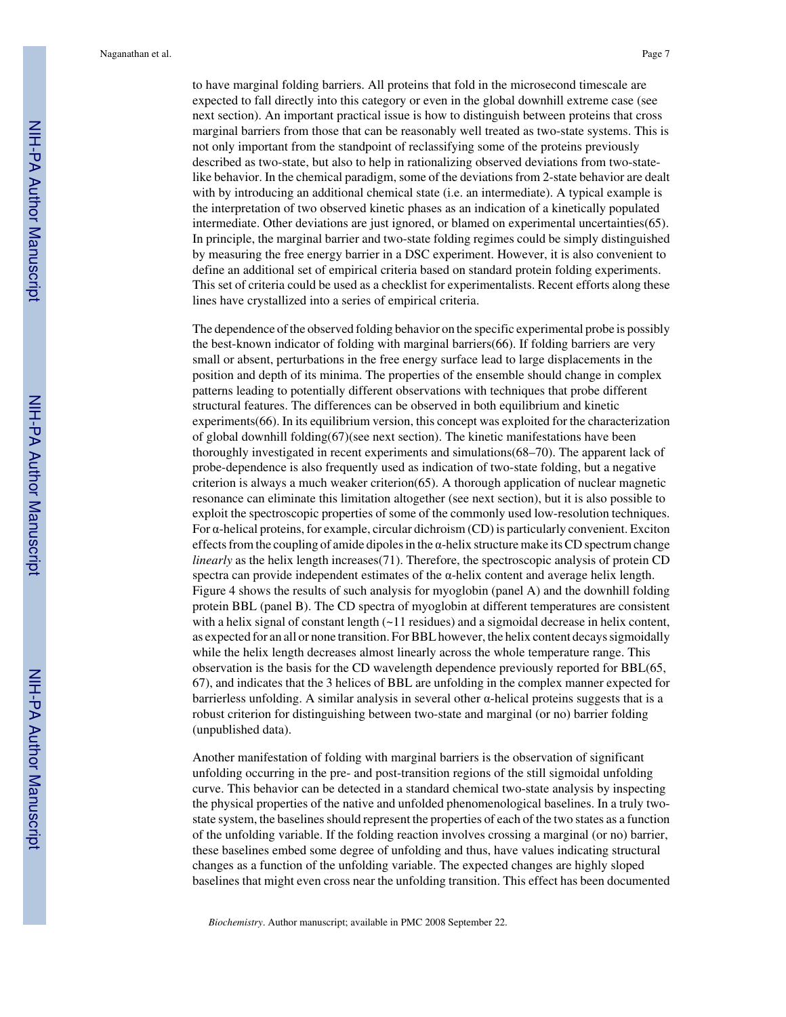to have marginal folding barriers. All proteins that fold in the microsecond timescale are expected to fall directly into this category or even in the global downhill extreme case (see next section). An important practical issue is how to distinguish between proteins that cross marginal barriers from those that can be reasonably well treated as two-state systems. This is not only important from the standpoint of reclassifying some of the proteins previously described as two-state, but also to help in rationalizing observed deviations from two-statelike behavior. In the chemical paradigm, some of the deviations from 2-state behavior are dealt with by introducing an additional chemical state (i.e. an intermediate). A typical example is the interpretation of two observed kinetic phases as an indication of a kinetically populated intermediate. Other deviations are just ignored, or blamed on experimental uncertainties(65). In principle, the marginal barrier and two-state folding regimes could be simply distinguished by measuring the free energy barrier in a DSC experiment. However, it is also convenient to define an additional set of empirical criteria based on standard protein folding experiments. This set of criteria could be used as a checklist for experimentalists. Recent efforts along these lines have crystallized into a series of empirical criteria.

The dependence of the observed folding behavior on the specific experimental probe is possibly the best-known indicator of folding with marginal barriers(66). If folding barriers are very small or absent, perturbations in the free energy surface lead to large displacements in the position and depth of its minima. The properties of the ensemble should change in complex patterns leading to potentially different observations with techniques that probe different structural features. The differences can be observed in both equilibrium and kinetic experiments(66). In its equilibrium version, this concept was exploited for the characterization of global downhill folding(67)(see next section). The kinetic manifestations have been thoroughly investigated in recent experiments and simulations(68–70). The apparent lack of probe-dependence is also frequently used as indication of two-state folding, but a negative criterion is always a much weaker criterion(65). A thorough application of nuclear magnetic resonance can eliminate this limitation altogether (see next section), but it is also possible to exploit the spectroscopic properties of some of the commonly used low-resolution techniques. For α-helical proteins, for example, circular dichroism (CD) is particularly convenient. Exciton effects from the coupling of amide dipoles in the  $\alpha$ -helix structure make its CD spectrum change *linearly* as the helix length increases(71). Therefore, the spectroscopic analysis of protein CD spectra can provide independent estimates of the  $\alpha$ -helix content and average helix length. Figure 4 shows the results of such analysis for myoglobin (panel A) and the downhill folding protein BBL (panel B). The CD spectra of myoglobin at different temperatures are consistent with a helix signal of constant length  $(-11 \text{ residues})$  and a sigmoidal decrease in helix content, as expected for an all or none transition. For BBL however, the helix content decays sigmoidally while the helix length decreases almost linearly across the whole temperature range. This observation is the basis for the CD wavelength dependence previously reported for BBL(65, 67), and indicates that the 3 helices of BBL are unfolding in the complex manner expected for barrierless unfolding. A similar analysis in several other  $\alpha$ -helical proteins suggests that is a robust criterion for distinguishing between two-state and marginal (or no) barrier folding (unpublished data).

Another manifestation of folding with marginal barriers is the observation of significant unfolding occurring in the pre- and post-transition regions of the still sigmoidal unfolding curve. This behavior can be detected in a standard chemical two-state analysis by inspecting the physical properties of the native and unfolded phenomenological baselines. In a truly twostate system, the baselines should represent the properties of each of the two states as a function of the unfolding variable. If the folding reaction involves crossing a marginal (or no) barrier, these baselines embed some degree of unfolding and thus, have values indicating structural changes as a function of the unfolding variable. The expected changes are highly sloped baselines that might even cross near the unfolding transition. This effect has been documented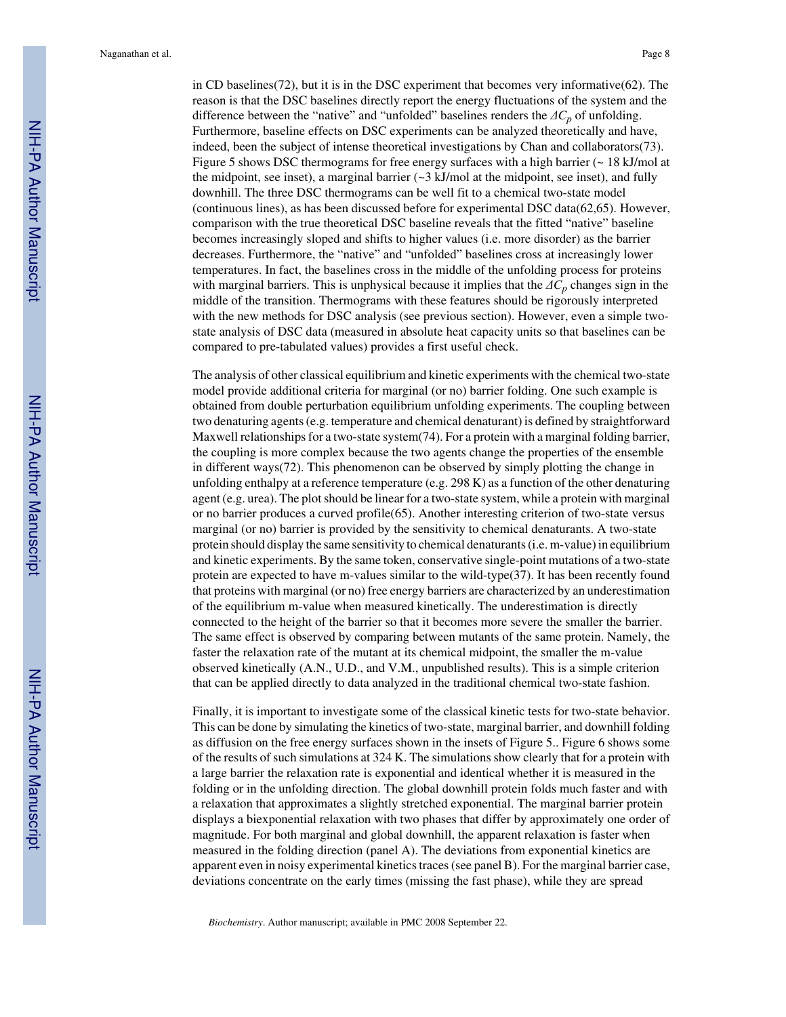in CD baselines(72), but it is in the DSC experiment that becomes very informative(62). The reason is that the DSC baselines directly report the energy fluctuations of the system and the difference between the "native" and "unfolded" baselines renders the *ΔCp* of unfolding. Furthermore, baseline effects on DSC experiments can be analyzed theoretically and have, indeed, been the subject of intense theoretical investigations by Chan and collaborators(73). Figure 5 shows DSC thermograms for free energy surfaces with a high barrier ( $\sim 18$  kJ/mol at the midpoint, see inset), a marginal barrier  $\left(\sim$ 3 kJ/mol at the midpoint, see inset), and fully downhill. The three DSC thermograms can be well fit to a chemical two-state model (continuous lines), as has been discussed before for experimental DSC data(62,65). However, comparison with the true theoretical DSC baseline reveals that the fitted "native" baseline becomes increasingly sloped and shifts to higher values (i.e. more disorder) as the barrier decreases. Furthermore, the "native" and "unfolded" baselines cross at increasingly lower temperatures. In fact, the baselines cross in the middle of the unfolding process for proteins with marginal barriers. This is unphysical because it implies that the *ΔCp* changes sign in the middle of the transition. Thermograms with these features should be rigorously interpreted with the new methods for DSC analysis (see previous section). However, even a simple twostate analysis of DSC data (measured in absolute heat capacity units so that baselines can be compared to pre-tabulated values) provides a first useful check.

The analysis of other classical equilibrium and kinetic experiments with the chemical two-state model provide additional criteria for marginal (or no) barrier folding. One such example is obtained from double perturbation equilibrium unfolding experiments. The coupling between two denaturing agents (e.g. temperature and chemical denaturant) is defined by straightforward Maxwell relationships for a two-state system(74). For a protein with a marginal folding barrier, the coupling is more complex because the two agents change the properties of the ensemble in different ways(72). This phenomenon can be observed by simply plotting the change in unfolding enthalpy at a reference temperature (e.g. 298 K) as a function of the other denaturing agent (e.g. urea). The plot should be linear for a two-state system, while a protein with marginal or no barrier produces a curved profile(65). Another interesting criterion of two-state versus marginal (or no) barrier is provided by the sensitivity to chemical denaturants. A two-state protein should display the same sensitivity to chemical denaturants (i.e. m-value) in equilibrium and kinetic experiments. By the same token, conservative single-point mutations of a two-state protein are expected to have m-values similar to the wild-type( $37$ ). It has been recently found that proteins with marginal (or no) free energy barriers are characterized by an underestimation of the equilibrium m-value when measured kinetically. The underestimation is directly connected to the height of the barrier so that it becomes more severe the smaller the barrier. The same effect is observed by comparing between mutants of the same protein. Namely, the faster the relaxation rate of the mutant at its chemical midpoint, the smaller the m-value observed kinetically (A.N., U.D., and V.M., unpublished results). This is a simple criterion that can be applied directly to data analyzed in the traditional chemical two-state fashion.

Finally, it is important to investigate some of the classical kinetic tests for two-state behavior. This can be done by simulating the kinetics of two-state, marginal barrier, and downhill folding as diffusion on the free energy surfaces shown in the insets of Figure 5.. Figure 6 shows some of the results of such simulations at 324 K. The simulations show clearly that for a protein with a large barrier the relaxation rate is exponential and identical whether it is measured in the folding or in the unfolding direction. The global downhill protein folds much faster and with a relaxation that approximates a slightly stretched exponential. The marginal barrier protein displays a biexponential relaxation with two phases that differ by approximately one order of magnitude. For both marginal and global downhill, the apparent relaxation is faster when measured in the folding direction (panel A). The deviations from exponential kinetics are apparent even in noisy experimental kinetics traces (see panel B). For the marginal barrier case, deviations concentrate on the early times (missing the fast phase), while they are spread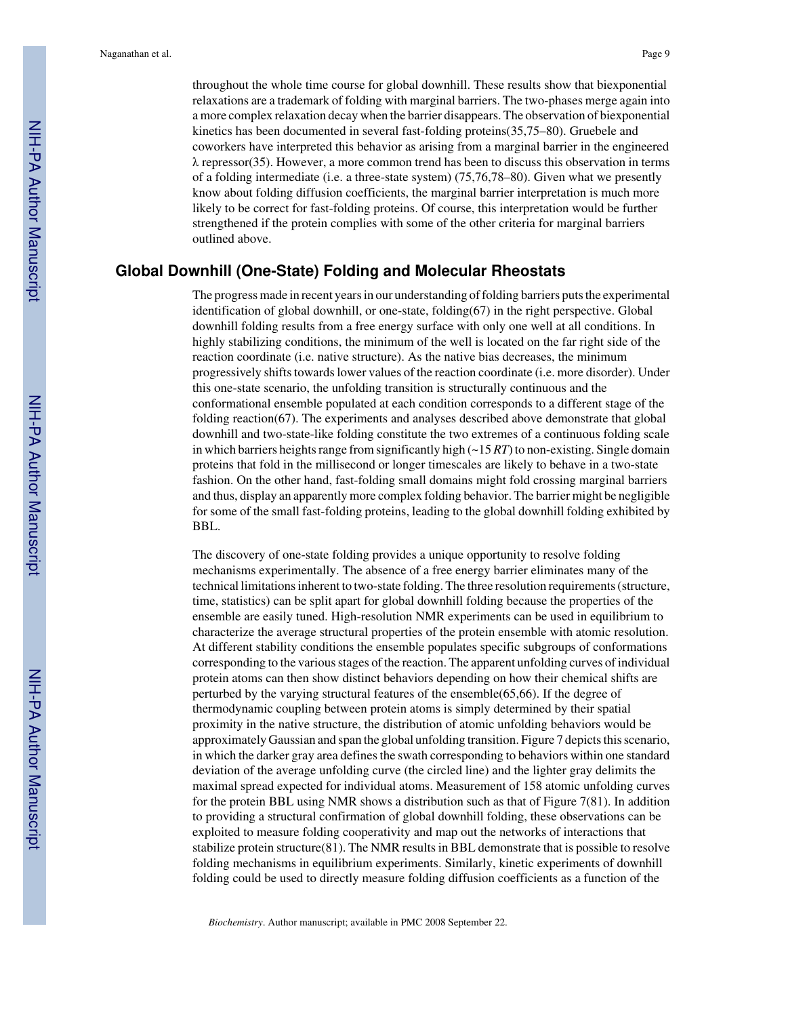throughout the whole time course for global downhill. These results show that biexponential relaxations are a trademark of folding with marginal barriers. The two-phases merge again into a more complex relaxation decay when the barrier disappears. The observation of biexponential kinetics has been documented in several fast-folding proteins(35,75–80). Gruebele and coworkers have interpreted this behavior as arising from a marginal barrier in the engineered  $\lambda$  repressor(35). However, a more common trend has been to discuss this observation in terms of a folding intermediate (i.e. a three-state system) (75,76,78–80). Given what we presently know about folding diffusion coefficients, the marginal barrier interpretation is much more likely to be correct for fast-folding proteins. Of course, this interpretation would be further strengthened if the protein complies with some of the other criteria for marginal barriers outlined above.

## **Global Downhill (One-State) Folding and Molecular Rheostats**

The progress made in recent years in our understanding of folding barriers puts the experimental identification of global downhill, or one-state, folding(67) in the right perspective. Global downhill folding results from a free energy surface with only one well at all conditions. In highly stabilizing conditions, the minimum of the well is located on the far right side of the reaction coordinate (i.e. native structure). As the native bias decreases, the minimum progressively shifts towards lower values of the reaction coordinate (i.e. more disorder). Under this one-state scenario, the unfolding transition is structurally continuous and the conformational ensemble populated at each condition corresponds to a different stage of the folding reaction(67). The experiments and analyses described above demonstrate that global downhill and two-state-like folding constitute the two extremes of a continuous folding scale in which barriers heights range from significantly high  $(\sim 15 RT)$  to non-existing. Single domain proteins that fold in the millisecond or longer timescales are likely to behave in a two-state fashion. On the other hand, fast-folding small domains might fold crossing marginal barriers and thus, display an apparently more complex folding behavior. The barrier might be negligible for some of the small fast-folding proteins, leading to the global downhill folding exhibited by BBL.

The discovery of one-state folding provides a unique opportunity to resolve folding mechanisms experimentally. The absence of a free energy barrier eliminates many of the technical limitations inherent to two-state folding. The three resolution requirements (structure, time, statistics) can be split apart for global downhill folding because the properties of the ensemble are easily tuned. High-resolution NMR experiments can be used in equilibrium to characterize the average structural properties of the protein ensemble with atomic resolution. At different stability conditions the ensemble populates specific subgroups of conformations corresponding to the various stages of the reaction. The apparent unfolding curves of individual protein atoms can then show distinct behaviors depending on how their chemical shifts are perturbed by the varying structural features of the ensemble(65,66). If the degree of thermodynamic coupling between protein atoms is simply determined by their spatial proximity in the native structure, the distribution of atomic unfolding behaviors would be approximately Gaussian and span the global unfolding transition. Figure 7 depicts this scenario, in which the darker gray area defines the swath corresponding to behaviors within one standard deviation of the average unfolding curve (the circled line) and the lighter gray delimits the maximal spread expected for individual atoms. Measurement of 158 atomic unfolding curves for the protein BBL using NMR shows a distribution such as that of Figure 7(81). In addition to providing a structural confirmation of global downhill folding, these observations can be exploited to measure folding cooperativity and map out the networks of interactions that stabilize protein structure(81). The NMR results in BBL demonstrate that is possible to resolve folding mechanisms in equilibrium experiments. Similarly, kinetic experiments of downhill folding could be used to directly measure folding diffusion coefficients as a function of the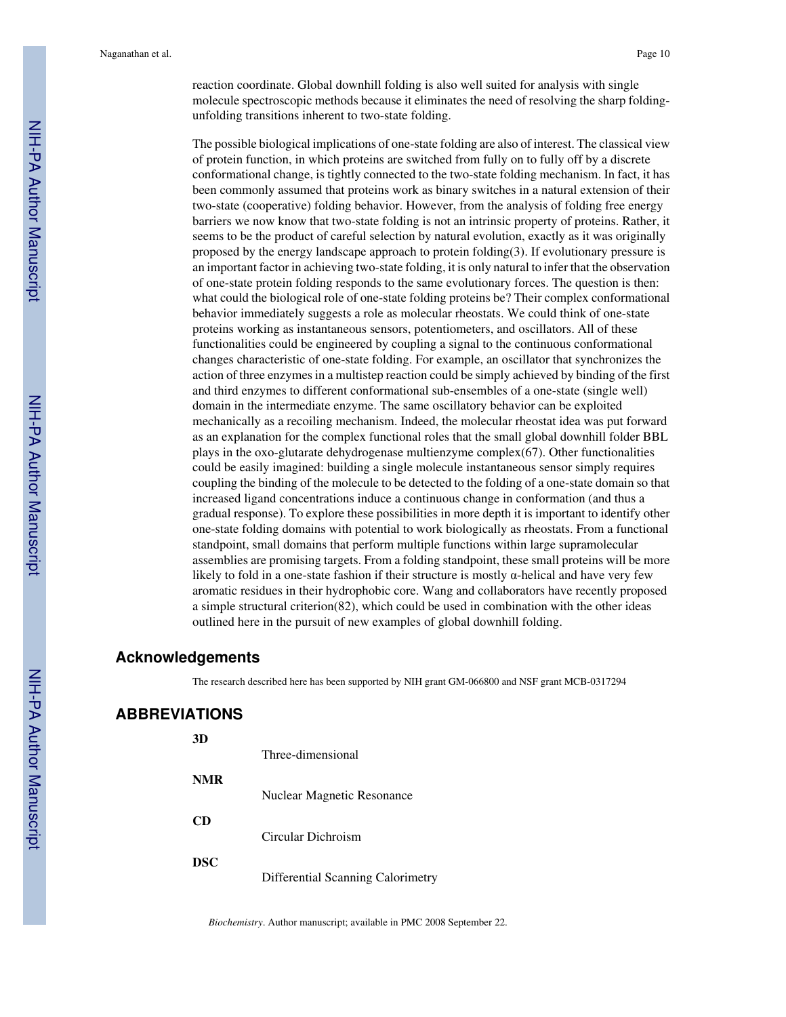reaction coordinate. Global downhill folding is also well suited for analysis with single molecule spectroscopic methods because it eliminates the need of resolving the sharp foldingunfolding transitions inherent to two-state folding.

The possible biological implications of one-state folding are also of interest. The classical view of protein function, in which proteins are switched from fully on to fully off by a discrete conformational change, is tightly connected to the two-state folding mechanism. In fact, it has been commonly assumed that proteins work as binary switches in a natural extension of their two-state (cooperative) folding behavior. However, from the analysis of folding free energy barriers we now know that two-state folding is not an intrinsic property of proteins. Rather, it seems to be the product of careful selection by natural evolution, exactly as it was originally proposed by the energy landscape approach to protein folding(3). If evolutionary pressure is an important factor in achieving two-state folding, it is only natural to infer that the observation of one-state protein folding responds to the same evolutionary forces. The question is then: what could the biological role of one-state folding proteins be? Their complex conformational behavior immediately suggests a role as molecular rheostats. We could think of one-state proteins working as instantaneous sensors, potentiometers, and oscillators. All of these functionalities could be engineered by coupling a signal to the continuous conformational changes characteristic of one-state folding. For example, an oscillator that synchronizes the action of three enzymes in a multistep reaction could be simply achieved by binding of the first and third enzymes to different conformational sub-ensembles of a one-state (single well) domain in the intermediate enzyme. The same oscillatory behavior can be exploited mechanically as a recoiling mechanism. Indeed, the molecular rheostat idea was put forward as an explanation for the complex functional roles that the small global downhill folder BBL plays in the oxo-glutarate dehydrogenase multienzyme complex(67). Other functionalities could be easily imagined: building a single molecule instantaneous sensor simply requires coupling the binding of the molecule to be detected to the folding of a one-state domain so that increased ligand concentrations induce a continuous change in conformation (and thus a gradual response). To explore these possibilities in more depth it is important to identify other one-state folding domains with potential to work biologically as rheostats. From a functional standpoint, small domains that perform multiple functions within large supramolecular assemblies are promising targets. From a folding standpoint, these small proteins will be more likely to fold in a one-state fashion if their structure is mostly  $\alpha$ -helical and have very few aromatic residues in their hydrophobic core. Wang and collaborators have recently proposed a simple structural criterion(82), which could be used in combination with the other ideas outlined here in the pursuit of new examples of global downhill folding.

## **Acknowledgements**

The research described here has been supported by NIH grant GM-066800 and NSF grant MCB-0317294

## **ABBREVIATIONS**

| 3D         | Three-dimensional                 |
|------------|-----------------------------------|
| <b>NMR</b> | Nuclear Magnetic Resonance        |
| CD         | Circular Dichroism                |
| <b>DSC</b> | Differential Scanning Calorimetry |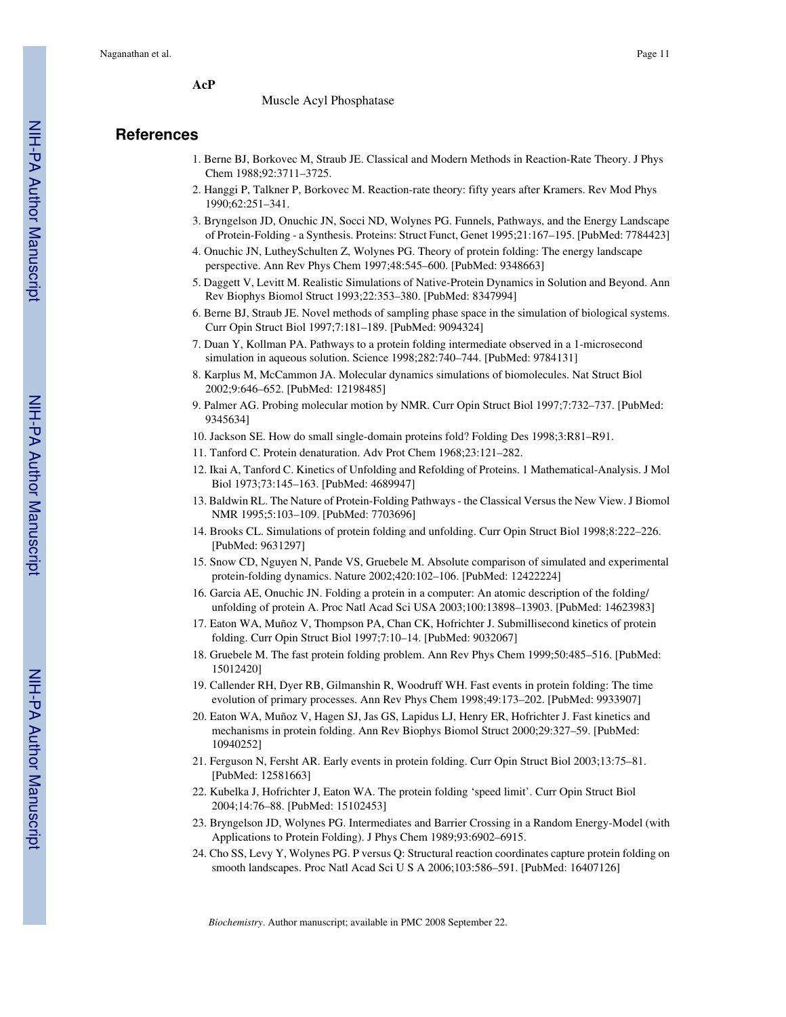**AcP**

#### Muscle Acyl Phosphatase

## **References**

- 1. Berne BJ, Borkovec M, Straub JE. Classical and Modern Methods in Reaction-Rate Theory. J Phys Chem 1988;92:3711–3725.
- 2. Hanggi P, Talkner P, Borkovec M. Reaction-rate theory: fifty years after Kramers. Rev Mod Phys 1990;62:251–341.
- 3. Bryngelson JD, Onuchic JN, Socci ND, Wolynes PG. Funnels, Pathways, and the Energy Landscape of Protein-Folding - a Synthesis. Proteins: Struct Funct, Genet 1995;21:167–195. [PubMed: 7784423]
- 4. Onuchic JN, LutheySchulten Z, Wolynes PG. Theory of protein folding: The energy landscape perspective. Ann Rev Phys Chem 1997;48:545–600. [PubMed: 9348663]
- 5. Daggett V, Levitt M. Realistic Simulations of Native-Protein Dynamics in Solution and Beyond. Ann Rev Biophys Biomol Struct 1993;22:353–380. [PubMed: 8347994]
- 6. Berne BJ, Straub JE. Novel methods of sampling phase space in the simulation of biological systems. Curr Opin Struct Biol 1997;7:181–189. [PubMed: 9094324]
- 7. Duan Y, Kollman PA. Pathways to a protein folding intermediate observed in a 1-microsecond simulation in aqueous solution. Science 1998;282:740–744. [PubMed: 9784131]
- 8. Karplus M, McCammon JA. Molecular dynamics simulations of biomolecules. Nat Struct Biol 2002;9:646–652. [PubMed: 12198485]
- 9. Palmer AG. Probing molecular motion by NMR. Curr Opin Struct Biol 1997;7:732–737. [PubMed: 9345634]
- 10. Jackson SE. How do small single-domain proteins fold? Folding Des 1998;3:R81–R91.
- 11. Tanford C. Protein denaturation. Adv Prot Chem 1968;23:121–282.
- 12. Ikai A, Tanford C. Kinetics of Unfolding and Refolding of Proteins. 1 Mathematical-Analysis. J Mol Biol 1973;73:145–163. [PubMed: 4689947]
- 13. Baldwin RL. The Nature of Protein-Folding Pathways the Classical Versus the New View. J Biomol NMR 1995;5:103–109. [PubMed: 7703696]
- 14. Brooks CL. Simulations of protein folding and unfolding. Curr Opin Struct Biol 1998;8:222–226. [PubMed: 9631297]
- 15. Snow CD, Nguyen N, Pande VS, Gruebele M. Absolute comparison of simulated and experimental protein-folding dynamics. Nature 2002;420:102–106. [PubMed: 12422224]
- 16. Garcia AE, Onuchic JN. Folding a protein in a computer: An atomic description of the folding/ unfolding of protein A. Proc Natl Acad Sci USA 2003;100:13898–13903. [PubMed: 14623983]
- 17. Eaton WA, Muñoz V, Thompson PA, Chan CK, Hofrichter J. Submillisecond kinetics of protein folding. Curr Opin Struct Biol 1997;7:10–14. [PubMed: 9032067]
- 18. Gruebele M. The fast protein folding problem. Ann Rev Phys Chem 1999;50:485–516. [PubMed: 15012420]
- 19. Callender RH, Dyer RB, Gilmanshin R, Woodruff WH. Fast events in protein folding: The time evolution of primary processes. Ann Rev Phys Chem 1998;49:173–202. [PubMed: 9933907]
- 20. Eaton WA, Muñoz V, Hagen SJ, Jas GS, Lapidus LJ, Henry ER, Hofrichter J. Fast kinetics and mechanisms in protein folding. Ann Rev Biophys Biomol Struct 2000;29:327–59. [PubMed: 10940252]
- 21. Ferguson N, Fersht AR. Early events in protein folding. Curr Opin Struct Biol 2003;13:75–81. [PubMed: 12581663]
- 22. Kubelka J, Hofrichter J, Eaton WA. The protein folding 'speed limit'. Curr Opin Struct Biol 2004;14:76–88. [PubMed: 15102453]
- 23. Bryngelson JD, Wolynes PG. Intermediates and Barrier Crossing in a Random Energy-Model (with Applications to Protein Folding). J Phys Chem 1989;93:6902–6915.
- 24. Cho SS, Levy Y, Wolynes PG. P versus Q: Structural reaction coordinates capture protein folding on smooth landscapes. Proc Natl Acad Sci U S A 2006;103:586–591. [PubMed: 16407126]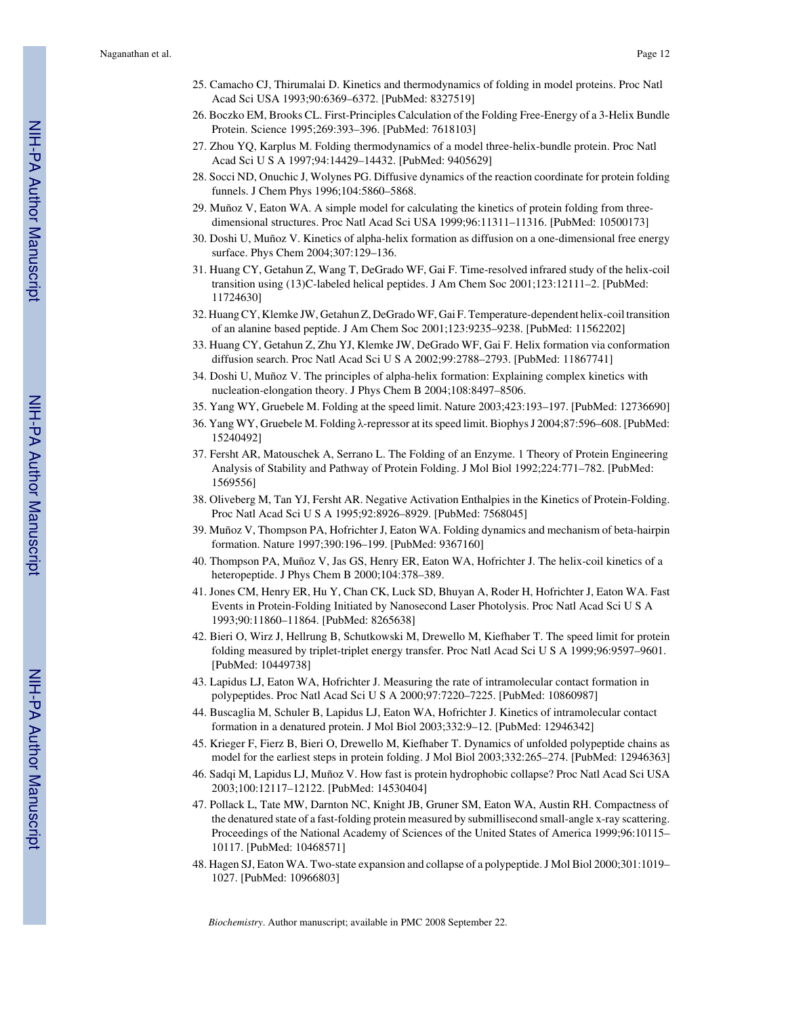- 25. Camacho CJ, Thirumalai D. Kinetics and thermodynamics of folding in model proteins. Proc Natl Acad Sci USA 1993;90:6369–6372. [PubMed: 8327519]
- 26. Boczko EM, Brooks CL. First-Principles Calculation of the Folding Free-Energy of a 3-Helix Bundle Protein. Science 1995;269:393–396. [PubMed: 7618103]
- 27. Zhou YQ, Karplus M. Folding thermodynamics of a model three-helix-bundle protein. Proc Natl Acad Sci U S A 1997;94:14429–14432. [PubMed: 9405629]
- 28. Socci ND, Onuchic J, Wolynes PG. Diffusive dynamics of the reaction coordinate for protein folding funnels. J Chem Phys 1996;104:5860–5868.
- 29. Muñoz V, Eaton WA. A simple model for calculating the kinetics of protein folding from threedimensional structures. Proc Natl Acad Sci USA 1999;96:11311–11316. [PubMed: 10500173]
- 30. Doshi U, Muñoz V. Kinetics of alpha-helix formation as diffusion on a one-dimensional free energy surface. Phys Chem 2004;307:129–136.
- 31. Huang CY, Getahun Z, Wang T, DeGrado WF, Gai F. Time-resolved infrared study of the helix-coil transition using (13)C-labeled helical peptides. J Am Chem Soc 2001;123:12111–2. [PubMed: 11724630]
- 32. Huang CY, Klemke JW, Getahun Z, DeGrado WF, Gai F. Temperature-dependent helix-coil transition of an alanine based peptide. J Am Chem Soc 2001;123:9235–9238. [PubMed: 11562202]
- 33. Huang CY, Getahun Z, Zhu YJ, Klemke JW, DeGrado WF, Gai F. Helix formation via conformation diffusion search. Proc Natl Acad Sci U S A 2002;99:2788–2793. [PubMed: 11867741]
- 34. Doshi U, Muñoz V. The principles of alpha-helix formation: Explaining complex kinetics with nucleation-elongation theory. J Phys Chem B 2004;108:8497–8506.
- 35. Yang WY, Gruebele M. Folding at the speed limit. Nature 2003;423:193–197. [PubMed: 12736690]
- 36. Yang WY, Gruebele M. Folding λ-repressor at its speed limit. Biophys J 2004;87:596–608. [PubMed: 15240492]
- 37. Fersht AR, Matouschek A, Serrano L. The Folding of an Enzyme. 1 Theory of Protein Engineering Analysis of Stability and Pathway of Protein Folding. J Mol Biol 1992;224:771–782. [PubMed: 1569556]
- 38. Oliveberg M, Tan YJ, Fersht AR. Negative Activation Enthalpies in the Kinetics of Protein-Folding. Proc Natl Acad Sci U S A 1995;92:8926–8929. [PubMed: 7568045]
- 39. Muñoz V, Thompson PA, Hofrichter J, Eaton WA. Folding dynamics and mechanism of beta-hairpin formation. Nature 1997;390:196–199. [PubMed: 9367160]
- 40. Thompson PA, Muñoz V, Jas GS, Henry ER, Eaton WA, Hofrichter J. The helix-coil kinetics of a heteropeptide. J Phys Chem B 2000;104:378–389.
- 41. Jones CM, Henry ER, Hu Y, Chan CK, Luck SD, Bhuyan A, Roder H, Hofrichter J, Eaton WA. Fast Events in Protein-Folding Initiated by Nanosecond Laser Photolysis. Proc Natl Acad Sci U S A 1993;90:11860–11864. [PubMed: 8265638]
- 42. Bieri O, Wirz J, Hellrung B, Schutkowski M, Drewello M, Kiefhaber T. The speed limit for protein folding measured by triplet-triplet energy transfer. Proc Natl Acad Sci U S A 1999;96:9597–9601. [PubMed: 10449738]
- 43. Lapidus LJ, Eaton WA, Hofrichter J. Measuring the rate of intramolecular contact formation in polypeptides. Proc Natl Acad Sci U S A 2000;97:7220–7225. [PubMed: 10860987]
- 44. Buscaglia M, Schuler B, Lapidus LJ, Eaton WA, Hofrichter J. Kinetics of intramolecular contact formation in a denatured protein. J Mol Biol 2003;332:9–12. [PubMed: 12946342]
- 45. Krieger F, Fierz B, Bieri O, Drewello M, Kiefhaber T. Dynamics of unfolded polypeptide chains as model for the earliest steps in protein folding. J Mol Biol 2003;332:265–274. [PubMed: 12946363]
- 46. Sadqi M, Lapidus LJ, Muñoz V. How fast is protein hydrophobic collapse? Proc Natl Acad Sci USA 2003;100:12117–12122. [PubMed: 14530404]
- 47. Pollack L, Tate MW, Darnton NC, Knight JB, Gruner SM, Eaton WA, Austin RH. Compactness of the denatured state of a fast-folding protein measured by submillisecond small-angle x-ray scattering. Proceedings of the National Academy of Sciences of the United States of America 1999;96:10115– 10117. [PubMed: 10468571]
- 48. Hagen SJ, Eaton WA. Two-state expansion and collapse of a polypeptide. J Mol Biol 2000;301:1019– 1027. [PubMed: 10966803]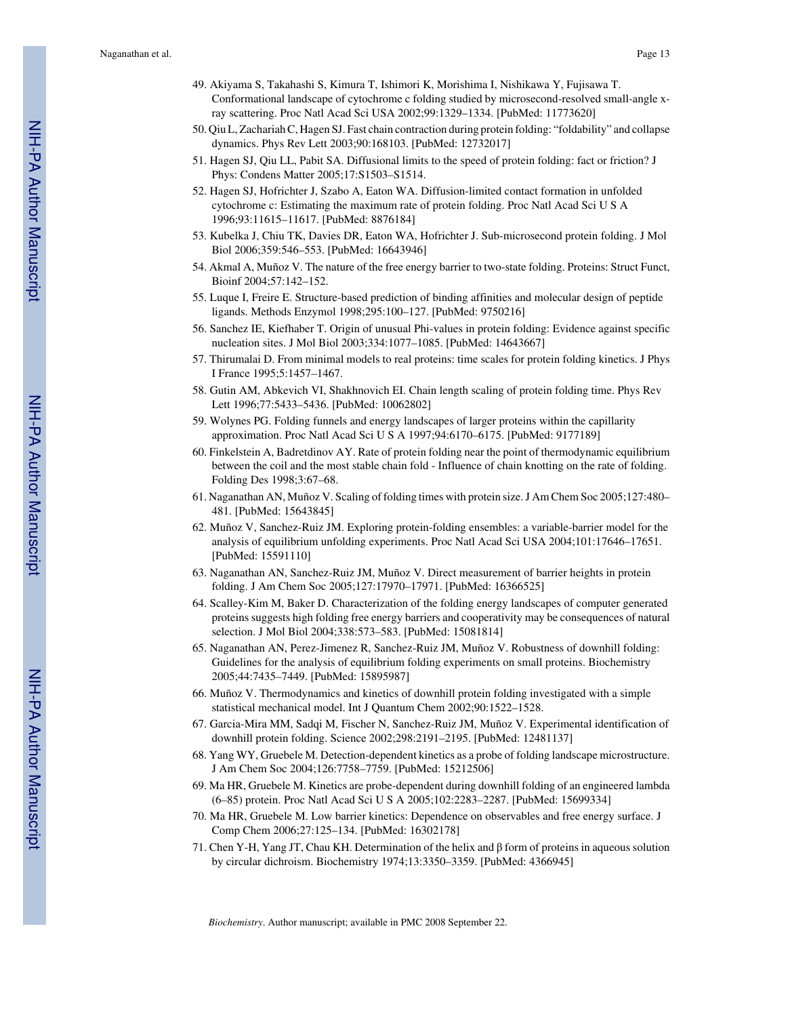- 49. Akiyama S, Takahashi S, Kimura T, Ishimori K, Morishima I, Nishikawa Y, Fujisawa T. Conformational landscape of cytochrome c folding studied by microsecond-resolved small-angle xray scattering. Proc Natl Acad Sci USA 2002;99:1329–1334. [PubMed: 11773620]
- 50. Qiu L, Zachariah C, Hagen SJ. Fast chain contraction during protein folding: "foldability" and collapse dynamics. Phys Rev Lett 2003;90:168103. [PubMed: 12732017]
- 51. Hagen SJ, Qiu LL, Pabit SA. Diffusional limits to the speed of protein folding: fact or friction? J Phys: Condens Matter 2005;17:S1503–S1514.
- 52. Hagen SJ, Hofrichter J, Szabo A, Eaton WA. Diffusion-limited contact formation in unfolded cytochrome c: Estimating the maximum rate of protein folding. Proc Natl Acad Sci U S A 1996;93:11615–11617. [PubMed: 8876184]
- 53. Kubelka J, Chiu TK, Davies DR, Eaton WA, Hofrichter J. Sub-microsecond protein folding. J Mol Biol 2006;359:546–553. [PubMed: 16643946]
- 54. Akmal A, Muñoz V. The nature of the free energy barrier to two-state folding. Proteins: Struct Funct, Bioinf 2004;57:142–152.
- 55. Luque I, Freire E. Structure-based prediction of binding affinities and molecular design of peptide ligands. Methods Enzymol 1998;295:100–127. [PubMed: 9750216]
- 56. Sanchez IE, Kiefhaber T. Origin of unusual Phi-values in protein folding: Evidence against specific nucleation sites. J Mol Biol 2003;334:1077–1085. [PubMed: 14643667]
- 57. Thirumalai D. From minimal models to real proteins: time scales for protein folding kinetics. J Phys I France 1995;5:1457–1467.
- 58. Gutin AM, Abkevich VI, Shakhnovich EI. Chain length scaling of protein folding time. Phys Rev Lett 1996;77:5433–5436. [PubMed: 10062802]
- 59. Wolynes PG. Folding funnels and energy landscapes of larger proteins within the capillarity approximation. Proc Natl Acad Sci U S A 1997;94:6170–6175. [PubMed: 9177189]
- 60. Finkelstein A, Badretdinov AY. Rate of protein folding near the point of thermodynamic equilibrium between the coil and the most stable chain fold - Influence of chain knotting on the rate of folding. Folding Des 1998;3:67–68.
- 61. Naganathan AN, Muñoz V. Scaling of folding times with protein size. J Am Chem Soc 2005;127:480– 481. [PubMed: 15643845]
- 62. Muñoz V, Sanchez-Ruiz JM. Exploring protein-folding ensembles: a variable-barrier model for the analysis of equilibrium unfolding experiments. Proc Natl Acad Sci USA 2004;101:17646–17651. [PubMed: 15591110]
- 63. Naganathan AN, Sanchez-Ruiz JM, Muñoz V. Direct measurement of barrier heights in protein folding. J Am Chem Soc 2005;127:17970–17971. [PubMed: 16366525]
- 64. Scalley-Kim M, Baker D. Characterization of the folding energy landscapes of computer generated proteins suggests high folding free energy barriers and cooperativity may be consequences of natural selection. J Mol Biol 2004;338:573–583. [PubMed: 15081814]
- 65. Naganathan AN, Perez-Jimenez R, Sanchez-Ruiz JM, Muñoz V. Robustness of downhill folding: Guidelines for the analysis of equilibrium folding experiments on small proteins. Biochemistry 2005;44:7435–7449. [PubMed: 15895987]
- 66. Muñoz V. Thermodynamics and kinetics of downhill protein folding investigated with a simple statistical mechanical model. Int J Quantum Chem 2002;90:1522–1528.
- 67. Garcia-Mira MM, Sadqi M, Fischer N, Sanchez-Ruiz JM, Muñoz V. Experimental identification of downhill protein folding. Science 2002;298:2191–2195. [PubMed: 12481137]
- 68. Yang WY, Gruebele M. Detection-dependent kinetics as a probe of folding landscape microstructure. J Am Chem Soc 2004;126:7758–7759. [PubMed: 15212506]
- 69. Ma HR, Gruebele M. Kinetics are probe-dependent during downhill folding of an engineered lambda (6–85) protein. Proc Natl Acad Sci U S A 2005;102:2283–2287. [PubMed: 15699334]
- 70. Ma HR, Gruebele M. Low barrier kinetics: Dependence on observables and free energy surface. J Comp Chem 2006;27:125–134. [PubMed: 16302178]
- 71. Chen Y-H, Yang JT, Chau KH. Determination of the helix and β form of proteins in aqueous solution by circular dichroism. Biochemistry 1974;13:3350–3359. [PubMed: 4366945]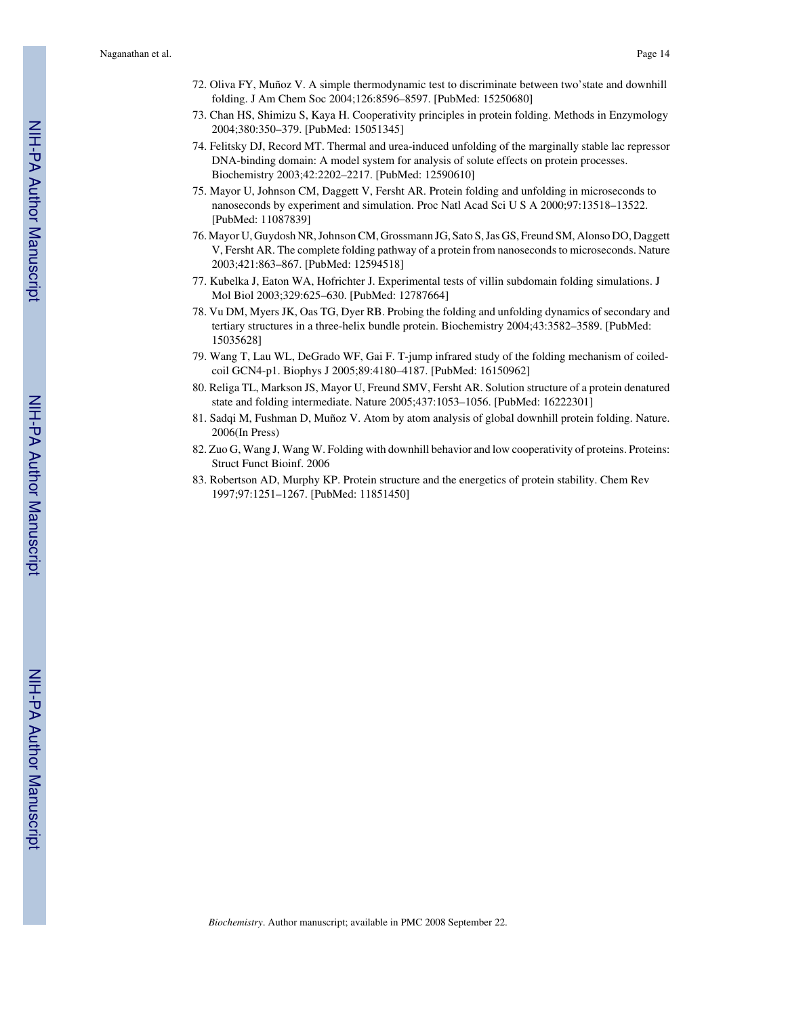- 72. Oliva FY, Muñoz V. A simple thermodynamic test to discriminate between two'state and downhill folding. J Am Chem Soc 2004;126:8596–8597. [PubMed: 15250680]
- 73. Chan HS, Shimizu S, Kaya H. Cooperativity principles in protein folding. Methods in Enzymology 2004;380:350–379. [PubMed: 15051345]
- 74. Felitsky DJ, Record MT. Thermal and urea-induced unfolding of the marginally stable lac repressor DNA-binding domain: A model system for analysis of solute effects on protein processes. Biochemistry 2003;42:2202–2217. [PubMed: 12590610]
- 75. Mayor U, Johnson CM, Daggett V, Fersht AR. Protein folding and unfolding in microseconds to nanoseconds by experiment and simulation. Proc Natl Acad Sci U S A 2000;97:13518–13522. [PubMed: 11087839]
- 76. Mayor U, Guydosh NR, Johnson CM, Grossmann JG, Sato S, Jas GS, Freund SM, Alonso DO, Daggett V, Fersht AR. The complete folding pathway of a protein from nanoseconds to microseconds. Nature 2003;421:863–867. [PubMed: 12594518]
- 77. Kubelka J, Eaton WA, Hofrichter J. Experimental tests of villin subdomain folding simulations. J Mol Biol 2003;329:625–630. [PubMed: 12787664]
- 78. Vu DM, Myers JK, Oas TG, Dyer RB. Probing the folding and unfolding dynamics of secondary and tertiary structures in a three-helix bundle protein. Biochemistry 2004;43:3582–3589. [PubMed: 15035628]
- 79. Wang T, Lau WL, DeGrado WF, Gai F. T-jump infrared study of the folding mechanism of coiledcoil GCN4-p1. Biophys J 2005;89:4180–4187. [PubMed: 16150962]
- 80. Religa TL, Markson JS, Mayor U, Freund SMV, Fersht AR. Solution structure of a protein denatured state and folding intermediate. Nature 2005;437:1053–1056. [PubMed: 16222301]
- 81. Sadqi M, Fushman D, Muñoz V. Atom by atom analysis of global downhill protein folding. Nature. 2006(In Press)
- 82. Zuo G, Wang J, Wang W. Folding with downhill behavior and low cooperativity of proteins. Proteins: Struct Funct Bioinf. 2006
- 83. Robertson AD, Murphy KP. Protein structure and the energetics of protein stability. Chem Rev 1997;97:1251–1267. [PubMed: 11851450]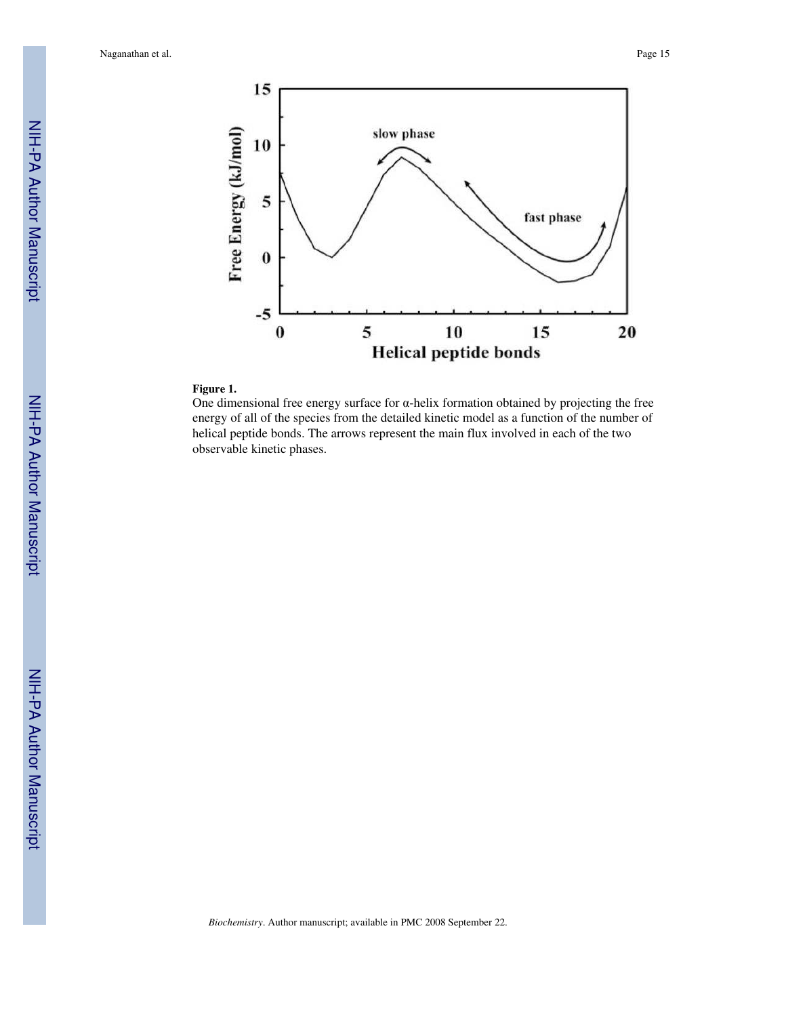

## **Figure 1.**

One dimensional free energy surface for  $\alpha$ -helix formation obtained by projecting the free energy of all of the species from the detailed kinetic model as a function of the number of helical peptide bonds. The arrows represent the main flux involved in each of the two observable kinetic phases.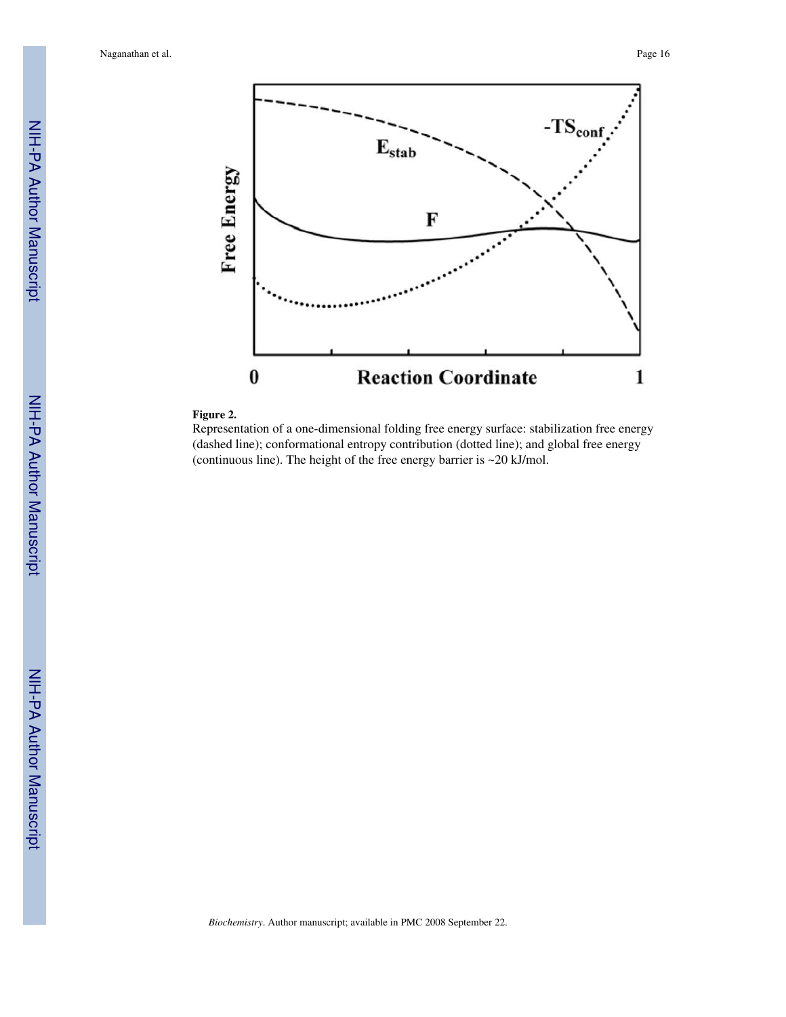

#### **Figure 2.**

Representation of a one-dimensional folding free energy surface: stabilization free energy (dashed line); conformational entropy contribution (dotted line); and global free energy (continuous line). The height of the free energy barrier is ~20 kJ/mol.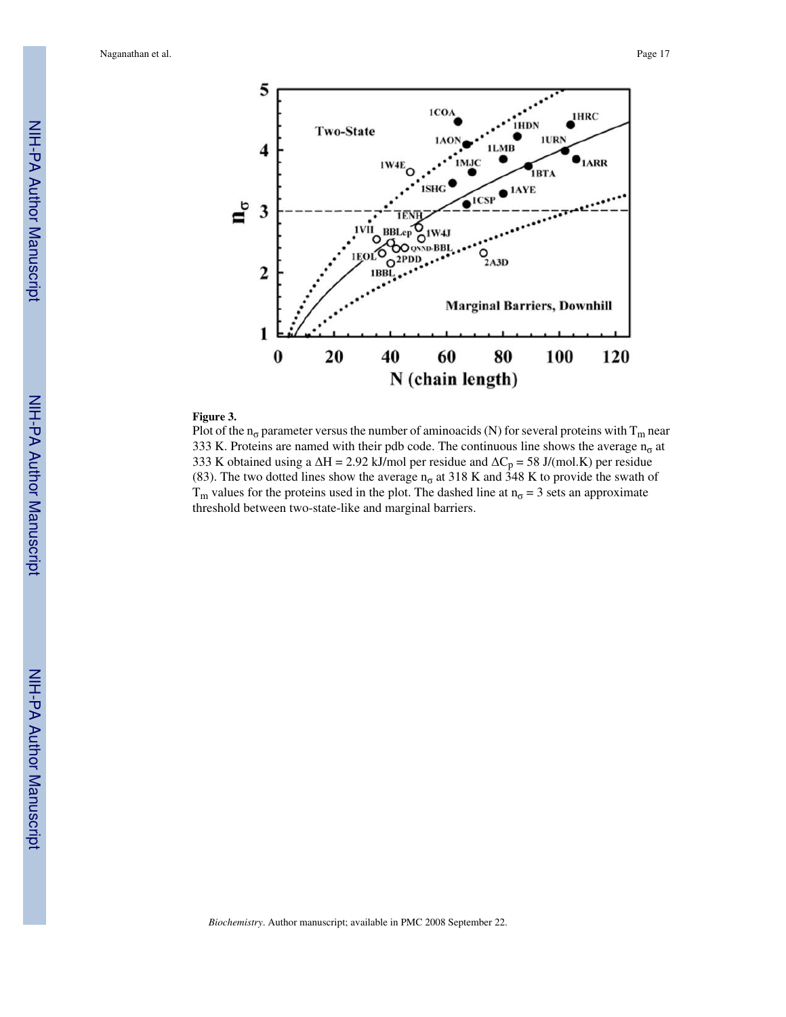

#### **Figure 3.**

Plot of the  $n_{\sigma}$  parameter versus the number of aminoacids (N) for several proteins with T<sub>m</sub> near 333 K. Proteins are named with their pdb code. The continuous line shows the average  $n_{\sigma}$  at 333 K obtained using a  $\Delta H = 2.92$  kJ/mol per residue and  $\Delta C_p = 58$  J/(mol.K) per residue (83). The two dotted lines show the average  $n_{\sigma}$  at 318 K and 348 K to provide the swath of  $T_m$  values for the proteins used in the plot. The dashed line at  $n_{\sigma} = 3$  sets an approximate threshold between two-state-like and marginal barriers.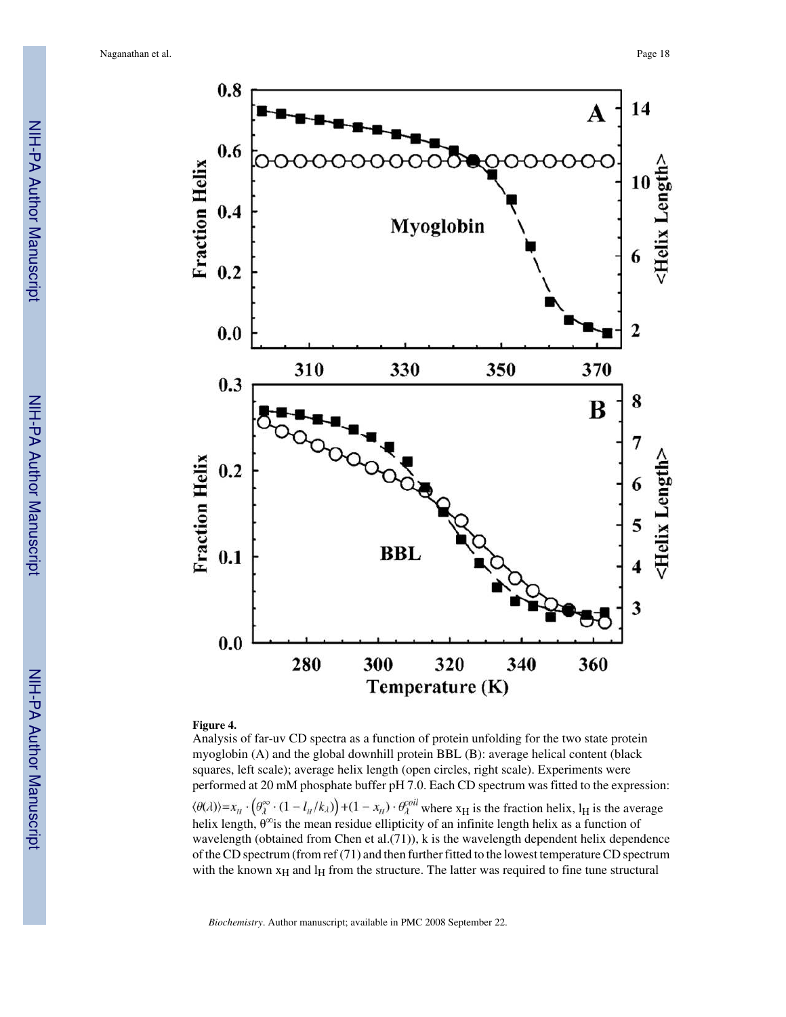

#### **Figure 4.**

Analysis of far-uv CD spectra as a function of protein unfolding for the two state protein myoglobin (A) and the global downhill protein BBL (B): average helical content (black squares, left scale); average helix length (open circles, right scale). Experiments were performed at 20 mM phosphate buffer pH 7.0. Each CD spectrum was fitted to the expression:  $\langle \theta(\lambda) \rangle = x_H \cdot \left( \theta_{\lambda}^{\infty} \cdot (1 - l_H/k_{\lambda}) \right) + (1 - x_H) \cdot \theta_{\lambda}^{coll}$  where  $x_H$  is the fraction helix,  $l_H$  is the average helix length,  $\theta^{\infty}$  is the mean residue ellipticity of an infinite length helix as a function of wavelength (obtained from Chen et al.(71)), k is the wavelength dependent helix dependence of the CD spectrum (from ref (71) and then further fitted to the lowest temperature CD spectrum with the known  $x_H$  and  $l_H$  from the structure. The latter was required to fine tune structural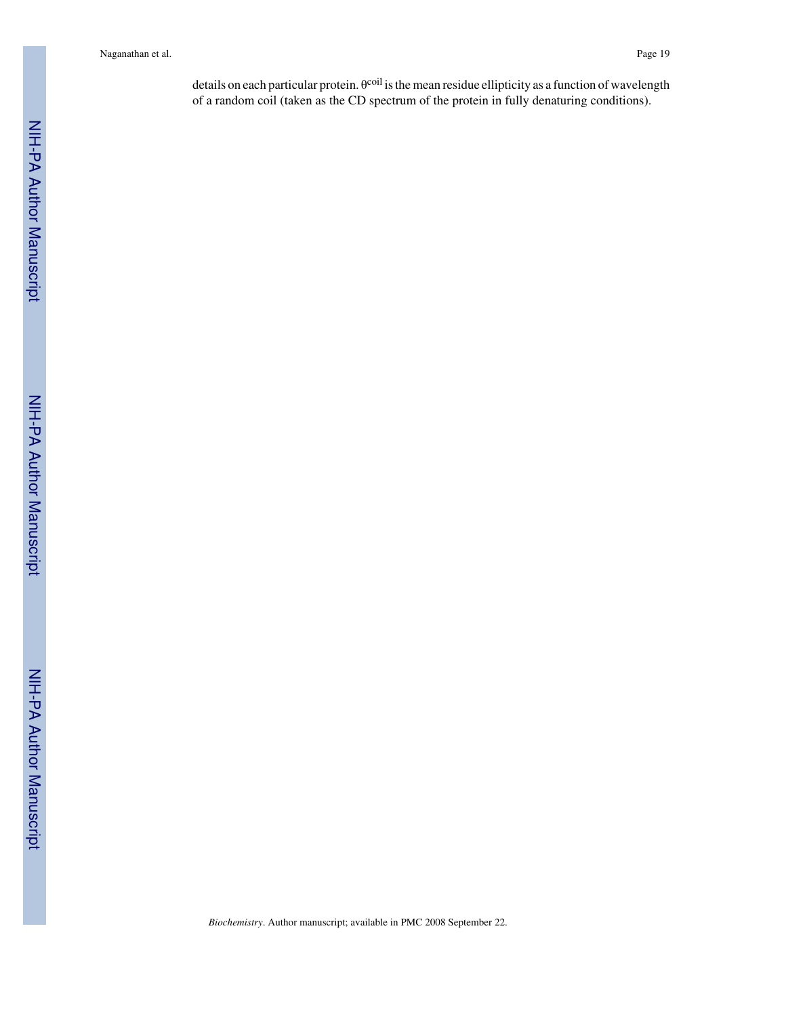details on each particular protein. θ<sup>coil</sup> is the mean residue ellipticity as a function of wavelength of a random coil (taken as the CD spectrum of the protein in fully denaturing conditions).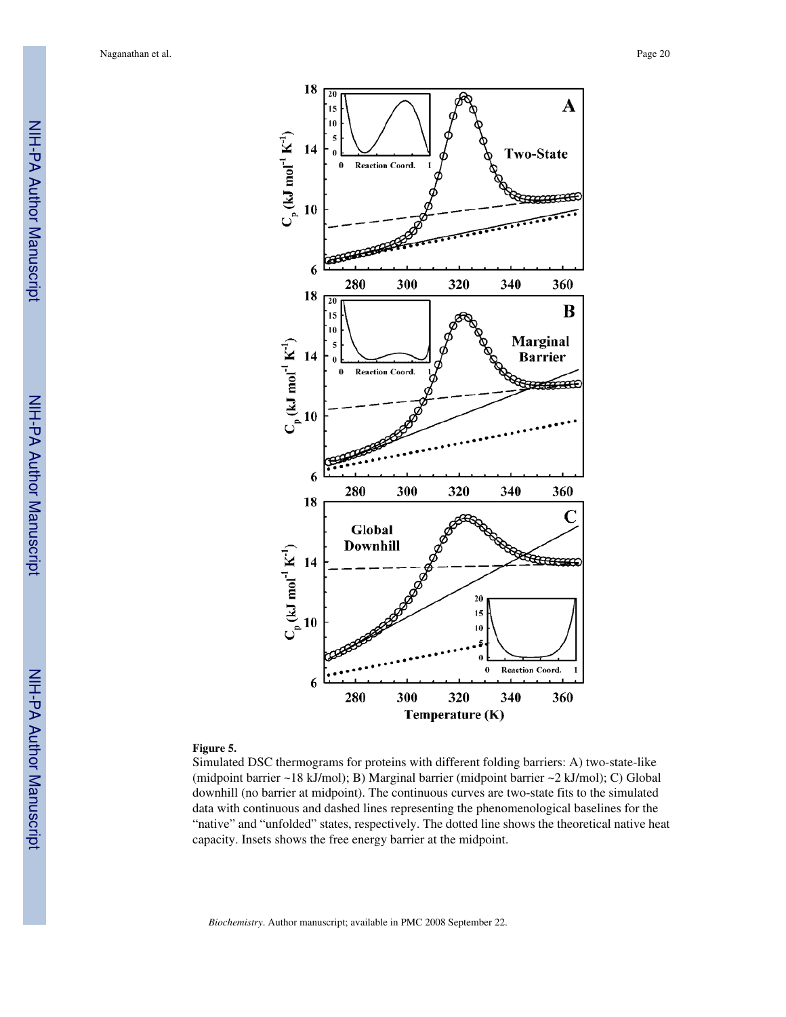

#### **Figure 5.**

Simulated DSC thermograms for proteins with different folding barriers: A) two-state-like (midpoint barrier ~18 kJ/mol); B) Marginal barrier (midpoint barrier ~2 kJ/mol); C) Global downhill (no barrier at midpoint). The continuous curves are two-state fits to the simulated data with continuous and dashed lines representing the phenomenological baselines for the "native" and "unfolded" states, respectively. The dotted line shows the theoretical native heat capacity. Insets shows the free energy barrier at the midpoint.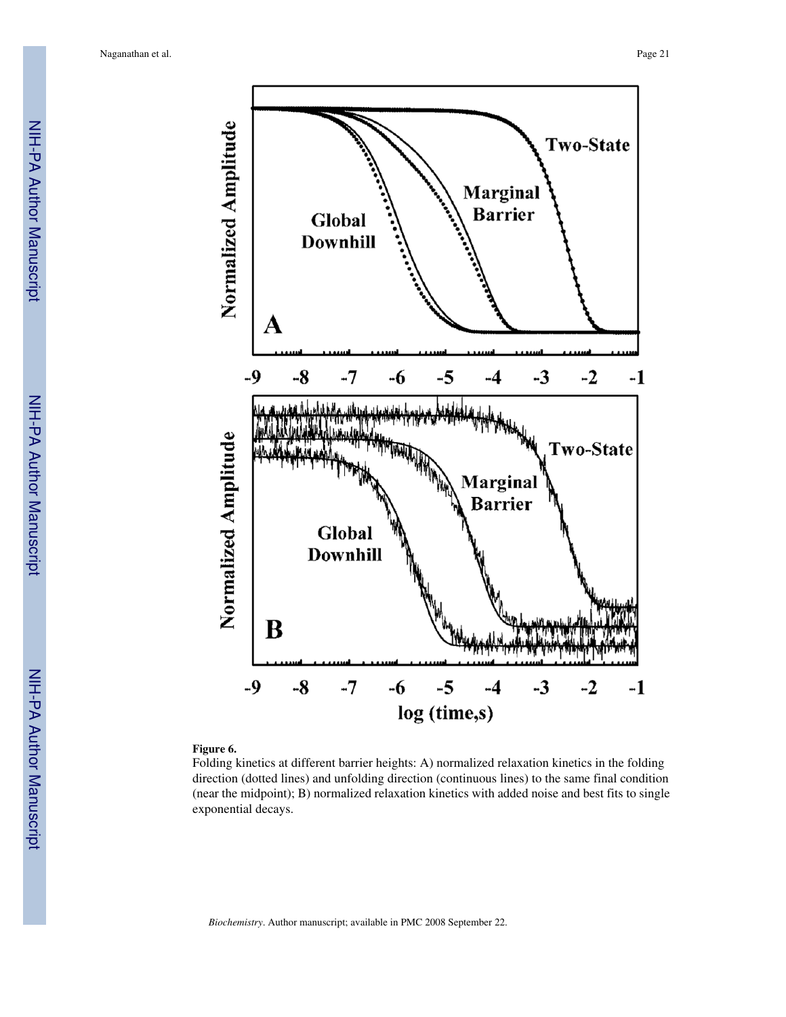

#### **Figure 6.**

Folding kinetics at different barrier heights: A) normalized relaxation kinetics in the folding direction (dotted lines) and unfolding direction (continuous lines) to the same final condition (near the midpoint); B) normalized relaxation kinetics with added noise and best fits to single exponential decays.